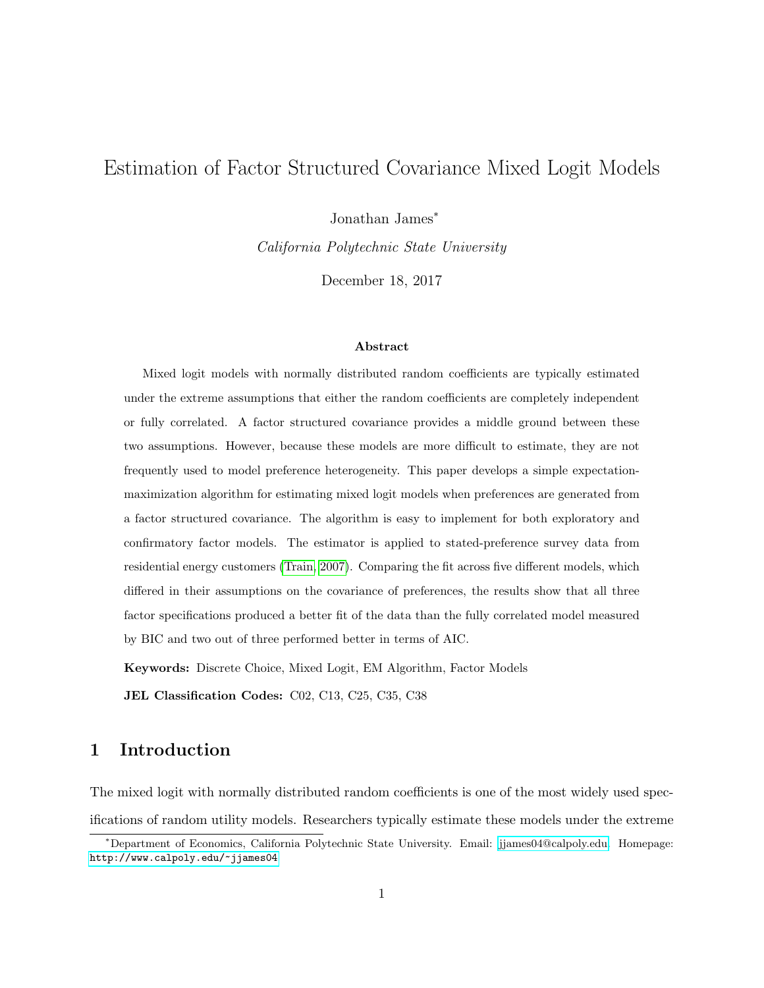# Estimation of Factor Structured Covariance Mixed Logit Models

Jonathan James<sup>\*</sup>

California Polytechnic State University

December 18, 2017

#### Abstract

Mixed logit models with normally distributed random coefficients are typically estimated under the extreme assumptions that either the random coefficients are completely independent or fully correlated. A factor structured covariance provides a middle ground between these two assumptions. However, because these models are more difficult to estimate, they are not frequently used to model preference heterogeneity. This paper develops a simple expectationmaximization algorithm for estimating mixed logit models when preferences are generated from a factor structured covariance. The algorithm is easy to implement for both exploratory and confirmatory factor models. The estimator is applied to stated-preference survey data from residential energy customers [\(Train, 2007\)](#page-25-0). Comparing the fit across five different models, which differed in their assumptions on the covariance of preferences, the results show that all three factor specifications produced a better fit of the data than the fully correlated model measured by BIC and two out of three performed better in terms of AIC.

Keywords: Discrete Choice, Mixed Logit, EM Algorithm, Factor Models

JEL Classification Codes: C02, C13, C25, C35, C38

# 1 Introduction

The mixed logit with normally distributed random coefficients is one of the most widely used specifications of random utility models. Researchers typically estimate these models under the extreme

<sup>∗</sup>Department of Economics, California Polytechnic State University. Email: [jjames04@calpoly.edu.](mailto:jjames04@calpoly.edu) Homepage: <http://www.calpoly.edu/~jjames04>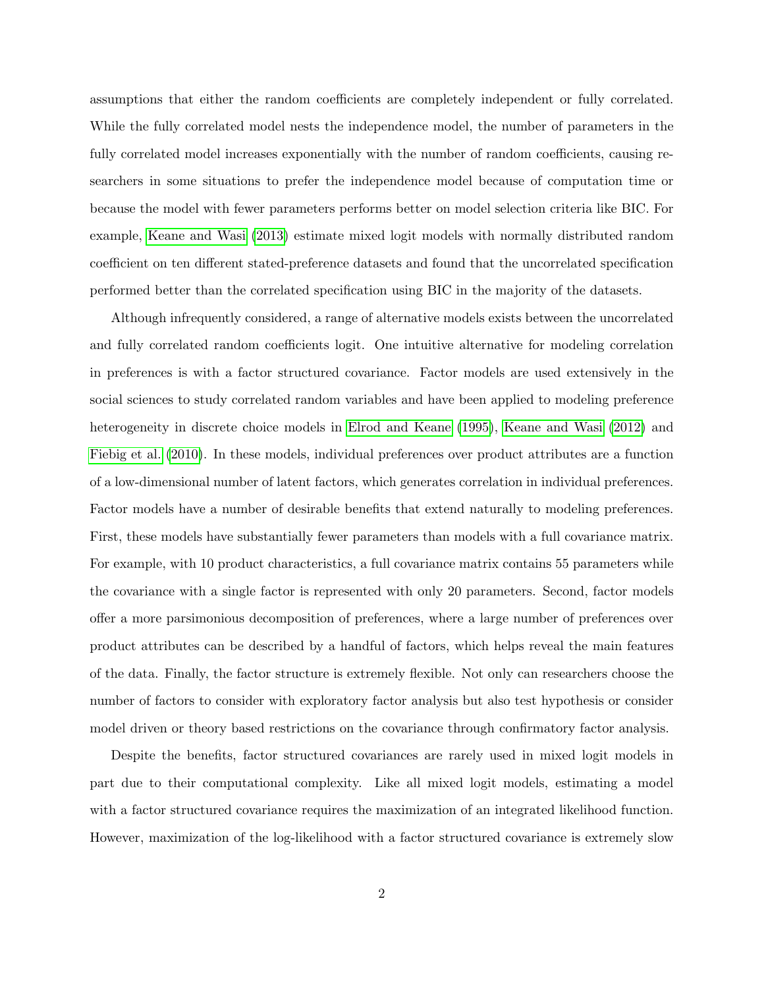assumptions that either the random coefficients are completely independent or fully correlated. While the fully correlated model nests the independence model, the number of parameters in the fully correlated model increases exponentially with the number of random coefficients, causing researchers in some situations to prefer the independence model because of computation time or because the model with fewer parameters performs better on model selection criteria like BIC. For example, [Keane and Wasi](#page-24-0) [\(2013\)](#page-24-0) estimate mixed logit models with normally distributed random coefficient on ten different stated-preference datasets and found that the uncorrelated specification performed better than the correlated specification using BIC in the majority of the datasets.

Although infrequently considered, a range of alternative models exists between the uncorrelated and fully correlated random coefficients logit. One intuitive alternative for modeling correlation in preferences is with a factor structured covariance. Factor models are used extensively in the social sciences to study correlated random variables and have been applied to modeling preference heterogeneity in discrete choice models in [Elrod and Keane](#page-24-1) [\(1995\)](#page-24-1), [Keane and Wasi](#page-25-1) [\(2012\)](#page-25-1) and [Fiebig et al.](#page-24-2) [\(2010\)](#page-24-2). In these models, individual preferences over product attributes are a function of a low-dimensional number of latent factors, which generates correlation in individual preferences. Factor models have a number of desirable benefits that extend naturally to modeling preferences. First, these models have substantially fewer parameters than models with a full covariance matrix. For example, with 10 product characteristics, a full covariance matrix contains 55 parameters while the covariance with a single factor is represented with only 20 parameters. Second, factor models offer a more parsimonious decomposition of preferences, where a large number of preferences over product attributes can be described by a handful of factors, which helps reveal the main features of the data. Finally, the factor structure is extremely flexible. Not only can researchers choose the number of factors to consider with exploratory factor analysis but also test hypothesis or consider model driven or theory based restrictions on the covariance through confirmatory factor analysis.

Despite the benefits, factor structured covariances are rarely used in mixed logit models in part due to their computational complexity. Like all mixed logit models, estimating a model with a factor structured covariance requires the maximization of an integrated likelihood function. However, maximization of the log-likelihood with a factor structured covariance is extremely slow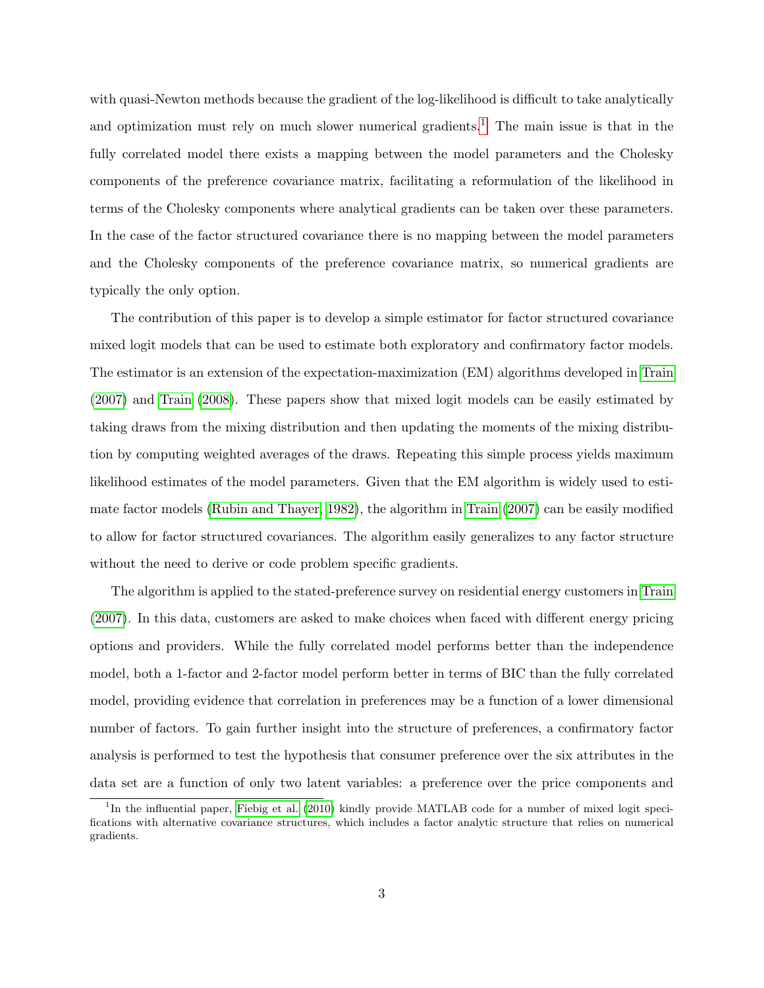with quasi-Newton methods because the gradient of the log-likelihood is difficult to take analytically and optimization must rely on much slower numerical gradients.<sup>[1](#page-2-0)</sup> The main issue is that in the fully correlated model there exists a mapping between the model parameters and the Cholesky components of the preference covariance matrix, facilitating a reformulation of the likelihood in terms of the Cholesky components where analytical gradients can be taken over these parameters. In the case of the factor structured covariance there is no mapping between the model parameters and the Cholesky components of the preference covariance matrix, so numerical gradients are typically the only option.

The contribution of this paper is to develop a simple estimator for factor structured covariance mixed logit models that can be used to estimate both exploratory and confirmatory factor models. The estimator is an extension of the expectation-maximization (EM) algorithms developed in [Train](#page-25-0) [\(2007\)](#page-25-0) and [Train](#page-25-2) [\(2008\)](#page-25-2). These papers show that mixed logit models can be easily estimated by taking draws from the mixing distribution and then updating the moments of the mixing distribution by computing weighted averages of the draws. Repeating this simple process yields maximum likelihood estimates of the model parameters. Given that the EM algorithm is widely used to estimate factor models [\(Rubin and Thayer, 1982\)](#page-25-3), the algorithm in [Train](#page-25-0) [\(2007\)](#page-25-0) can be easily modified to allow for factor structured covariances. The algorithm easily generalizes to any factor structure without the need to derive or code problem specific gradients.

The algorithm is applied to the stated-preference survey on residential energy customers in [Train](#page-25-0) [\(2007\)](#page-25-0). In this data, customers are asked to make choices when faced with different energy pricing options and providers. While the fully correlated model performs better than the independence model, both a 1-factor and 2-factor model perform better in terms of BIC than the fully correlated model, providing evidence that correlation in preferences may be a function of a lower dimensional number of factors. To gain further insight into the structure of preferences, a confirmatory factor analysis is performed to test the hypothesis that consumer preference over the six attributes in the data set are a function of only two latent variables: a preference over the price components and

<span id="page-2-0"></span><sup>&</sup>lt;sup>1</sup>In the influential paper, [Fiebig et al.](#page-24-2) [\(2010\)](#page-24-2) kindly provide MATLAB code for a number of mixed logit specifications with alternative covariance structures, which includes a factor analytic structure that relies on numerical gradients.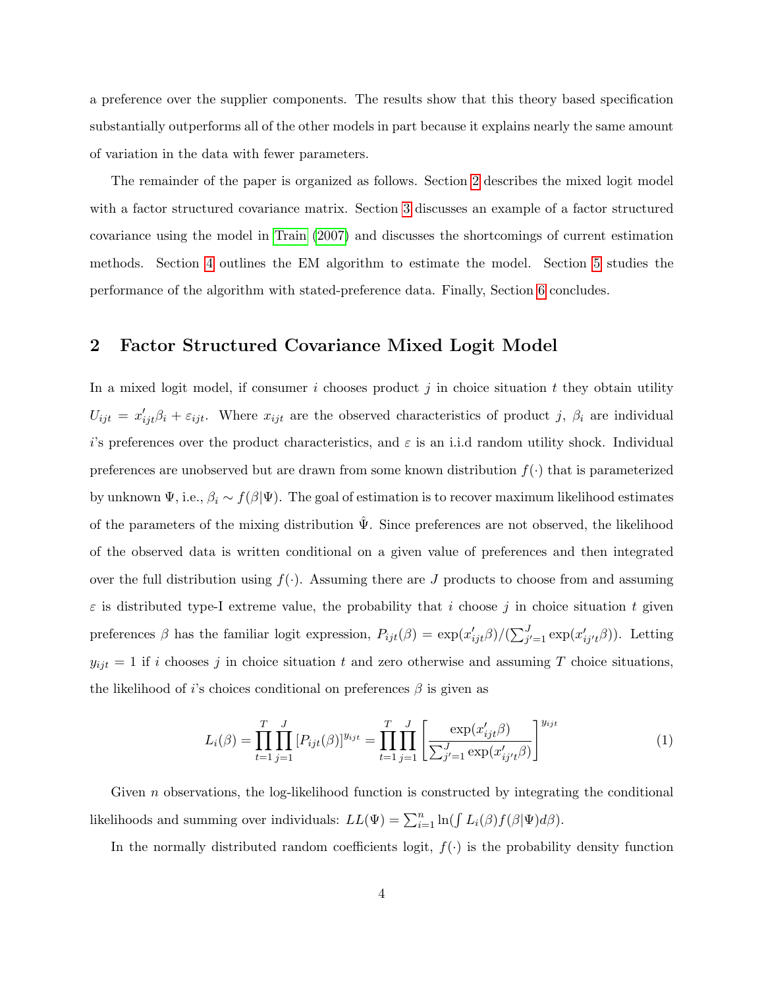a preference over the supplier components. The results show that this theory based specification substantially outperforms all of the other models in part because it explains nearly the same amount of variation in the data with fewer parameters.

The remainder of the paper is organized as follows. Section [2](#page-3-0) describes the mixed logit model with a factor structured covariance matrix. Section [3](#page-5-0) discusses an example of a factor structured covariance using the model in [Train](#page-25-0) [\(2007\)](#page-25-0) and discusses the shortcomings of current estimation methods. Section [4](#page-8-0) outlines the EM algorithm to estimate the model. Section [5](#page-18-0) studies the performance of the algorithm with stated-preference data. Finally, Section [6](#page-23-0) concludes.

## <span id="page-3-0"></span>2 Factor Structured Covariance Mixed Logit Model

In a mixed logit model, if consumer i chooses product j in choice situation t they obtain utility  $U_{ijt} = x'_{ijt}\beta_i + \varepsilon_{ijt}$ . Where  $x_{ijt}$  are the observed characteristics of product j,  $\beta_i$  are individual i's preferences over the product characteristics, and  $\varepsilon$  is an i.i.d random utility shock. Individual preferences are unobserved but are drawn from some known distribution  $f(\cdot)$  that is parameterized by unknown  $\Psi$ , i.e.,  $\beta_i \sim f(\beta|\Psi)$ . The goal of estimation is to recover maximum likelihood estimates of the parameters of the mixing distribution  $\hat{\Psi}$ . Since preferences are not observed, the likelihood of the observed data is written conditional on a given value of preferences and then integrated over the full distribution using  $f(.)$ . Assuming there are J products to choose from and assuming  $\varepsilon$  is distributed type-I extreme value, the probability that i choose j in choice situation t given preferences  $\beta$  has the familiar logit expression,  $P_{ijt}(\beta) = \exp(\frac{x'_{ijt}}{\beta})/(\sum_{j'=1}^{J} \exp(\frac{x'_{ij't}}{\beta}))$ . Letting  $y_{ijt} = 1$  if i chooses j in choice situation t and zero otherwise and assuming T choice situations, the likelihood of i's choices conditional on preferences  $\beta$  is given as

<span id="page-3-1"></span>
$$
L_i(\beta) = \prod_{t=1}^T \prod_{j=1}^J [P_{ijt}(\beta)]^{y_{ijt}} = \prod_{t=1}^T \prod_{j=1}^J \left[ \frac{\exp(x'_{ijt}\beta)}{\sum_{j'=1}^J \exp(x'_{ij't}\beta)} \right]^{y_{ijt}}
$$
(1)

Given n observations, the log-likelihood function is constructed by integrating the conditional likelihoods and summing over individuals:  $LL(\Psi) = \sum_{i=1}^{n} \ln(\int L_i(\beta) f(\beta | \Psi) d\beta)$ .

In the normally distributed random coefficients logit,  $f(\cdot)$  is the probability density function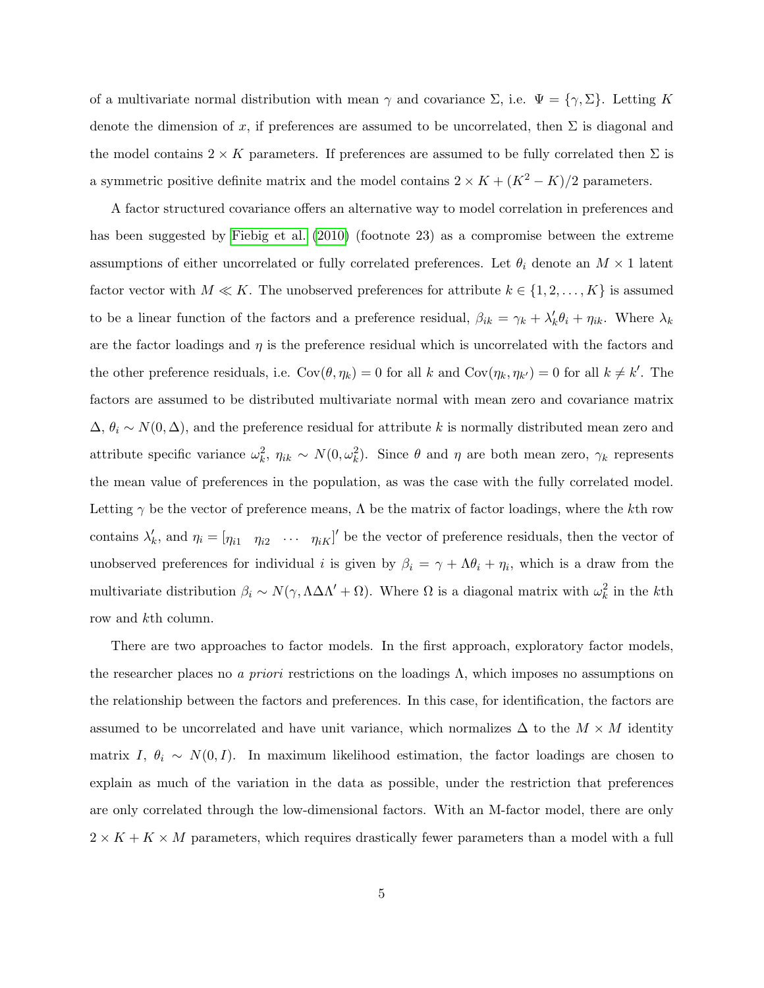of a multivariate normal distribution with mean  $\gamma$  and covariance  $\Sigma$ , i.e.  $\Psi = {\gamma, \Sigma}$ . Letting K denote the dimension of x, if preferences are assumed to be uncorrelated, then  $\Sigma$  is diagonal and the model contains  $2 \times K$  parameters. If preferences are assumed to be fully correlated then  $\Sigma$  is a symmetric positive definite matrix and the model contains  $2 \times K + (K^2 - K)/2$  parameters.

A factor structured covariance offers an alternative way to model correlation in preferences and has been suggested by [Fiebig et al.](#page-24-2) [\(2010\)](#page-24-2) (footnote 23) as a compromise between the extreme assumptions of either uncorrelated or fully correlated preferences. Let  $\theta_i$  denote an  $M \times 1$  latent factor vector with  $M \ll K$ . The unobserved preferences for attribute  $k \in \{1, 2, ..., K\}$  is assumed to be a linear function of the factors and a preference residual,  $\beta_{ik} = \gamma_k + \lambda'_k \theta_i + \eta_{ik}$ . Where  $\lambda_k$ are the factor loadings and  $\eta$  is the preference residual which is uncorrelated with the factors and the other preference residuals, i.e.  $Cov(\theta, \eta_k) = 0$  for all k and  $Cov(\eta_k, \eta_{k'}) = 0$  for all  $k \neq k'$ . The factors are assumed to be distributed multivariate normal with mean zero and covariance matrix  $\Delta, \theta_i \sim N(0, \Delta)$ , and the preference residual for attribute k is normally distributed mean zero and attribute specific variance  $\omega_k^2$ ,  $\eta_{ik} \sim N(0, \omega_k^2)$ . Since  $\theta$  and  $\eta$  are both mean zero,  $\gamma_k$  represents the mean value of preferences in the population, as was the case with the fully correlated model. Letting  $\gamma$  be the vector of preference means,  $\Lambda$  be the matrix of factor loadings, where the kth row contains  $\lambda'_k$ , and  $\eta_i = [\eta_{i1} \quad \eta_{i2} \quad \cdots \quad \eta_{iK}]'$  be the vector of preference residuals, then the vector of unobserved preferences for individual *i* is given by  $\beta_i = \gamma + \Lambda \theta_i + \eta_i$ , which is a draw from the multivariate distribution  $\beta_i \sim N(\gamma, \Lambda \Delta \Lambda' + \Omega)$ . Where  $\Omega$  is a diagonal matrix with  $\omega_k^2$  in the kth row and kth column.

There are two approaches to factor models. In the first approach, exploratory factor models, the researcher places no *a priori* restrictions on the loadings  $\Lambda$ , which imposes no assumptions on the relationship between the factors and preferences. In this case, for identification, the factors are assumed to be uncorrelated and have unit variance, which normalizes  $\Delta$  to the  $M \times M$  identity matrix I,  $\theta_i \sim N(0, I)$ . In maximum likelihood estimation, the factor loadings are chosen to explain as much of the variation in the data as possible, under the restriction that preferences are only correlated through the low-dimensional factors. With an M-factor model, there are only  $2 \times K + K \times M$  parameters, which requires drastically fewer parameters than a model with a full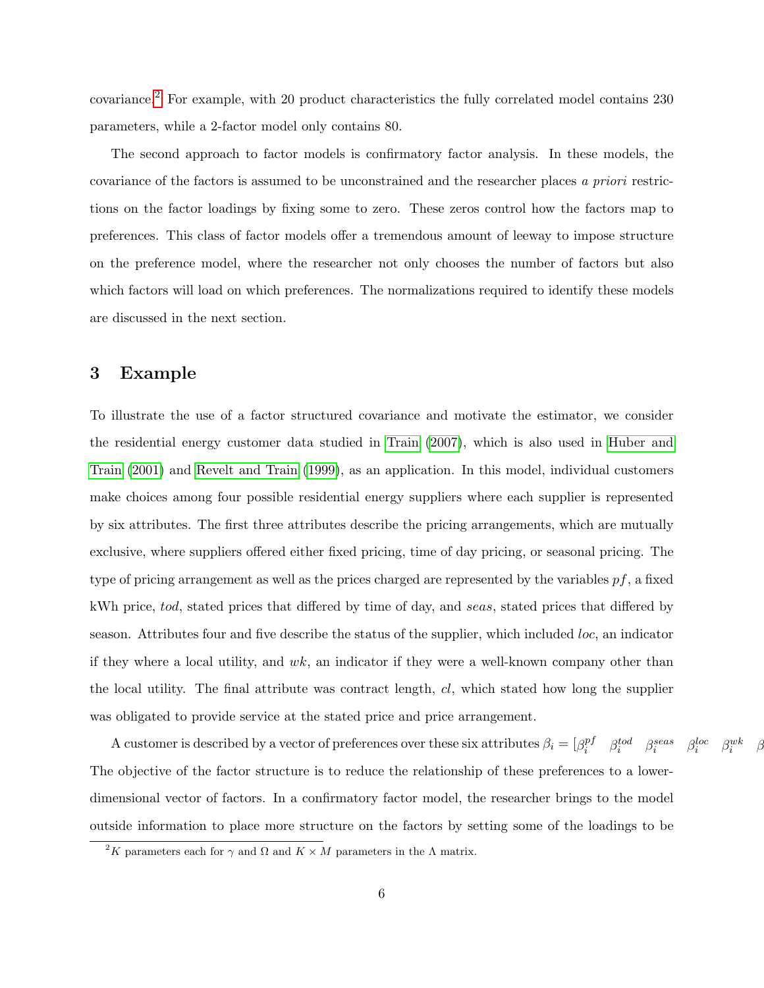covariance.[2](#page-5-1) For example, with 20 product characteristics the fully correlated model contains 230 parameters, while a 2-factor model only contains 80.

The second approach to factor models is confirmatory factor analysis. In these models, the covariance of the factors is assumed to be unconstrained and the researcher places a priori restrictions on the factor loadings by fixing some to zero. These zeros control how the factors map to preferences. This class of factor models offer a tremendous amount of leeway to impose structure on the preference model, where the researcher not only chooses the number of factors but also which factors will load on which preferences. The normalizations required to identify these models are discussed in the next section.

### <span id="page-5-0"></span>3 Example

To illustrate the use of a factor structured covariance and motivate the estimator, we consider the residential energy customer data studied in [Train](#page-25-0) [\(2007\)](#page-25-0), which is also used in [Huber and](#page-24-3) [Train](#page-24-3) [\(2001\)](#page-24-3) and [Revelt and Train](#page-25-4) [\(1999\)](#page-25-4), as an application. In this model, individual customers make choices among four possible residential energy suppliers where each supplier is represented by six attributes. The first three attributes describe the pricing arrangements, which are mutually exclusive, where suppliers offered either fixed pricing, time of day pricing, or seasonal pricing. The type of pricing arrangement as well as the prices charged are represented by the variables  $pf$ , a fixed kWh price, tod, stated prices that differed by time of day, and seas, stated prices that differed by season. Attributes four and five describe the status of the supplier, which included loc, an indicator if they where a local utility, and  $wk$ , an indicator if they were a well-known company other than the local utility. The final attribute was contract length, cl, which stated how long the supplier was obligated to provide service at the stated price and price arrangement.

A customer is described by a vector of preferences over these six attributes  $\beta_i = [\beta_i^{pf}]$  $\begin{matrix} p f & \beta_i^{tod} & \beta_i^{seas} & \beta_i \end{matrix}$ loc  $i$   $\beta_i^{wk}$   $\beta$ The objective of the factor structure is to reduce the relationship of these preferences to a lowerdimensional vector of factors. In a confirmatory factor model, the researcher brings to the model outside information to place more structure on the factors by setting some of the loadings to be

<span id="page-5-1"></span><sup>&</sup>lt;sup>2</sup>K parameters each for  $\gamma$  and  $\Omega$  and  $K \times M$  parameters in the  $\Lambda$  matrix.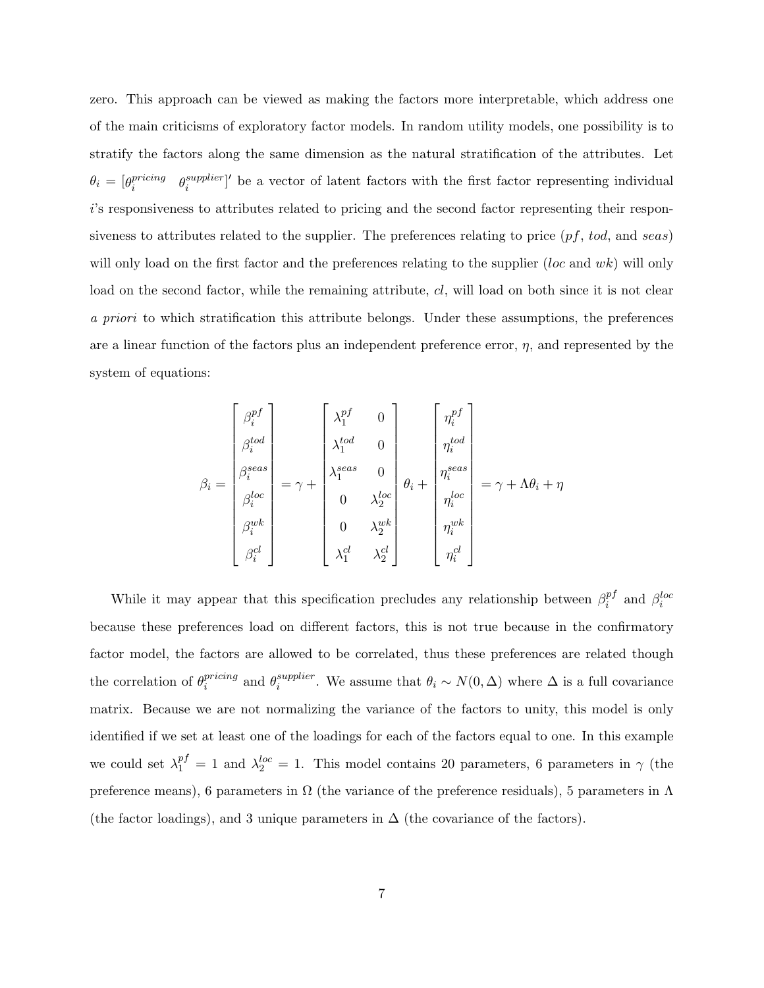zero. This approach can be viewed as making the factors more interpretable, which address one of the main criticisms of exploratory factor models. In random utility models, one possibility is to stratify the factors along the same dimension as the natural stratification of the attributes. Let  $\theta_i = [\theta_i^{pricing}$  $\small \begin{array}{cl} {pricing} \ {e^{supplier}} \end{array}$  $\int_{i}^{supplier}$  be a vector of latent factors with the first factor representing individual i's responsiveness to attributes related to pricing and the second factor representing their responsiveness to attributes related to the supplier. The preferences relating to price  $(pf, tod, and seas)$ will only load on the first factor and the preferences relating to the supplier  $(loc$  and  $wk)$  will only load on the second factor, while the remaining attribute, cl, will load on both since it is not clear a priori to which stratification this attribute belongs. Under these assumptions, the preferences are a linear function of the factors plus an independent preference error,  $\eta$ , and represented by the system of equations:

$$
\beta_i = \begin{bmatrix} \beta_i^{pf} \\ \beta_i^{tod} \\ \beta_i^{lead} \\ \beta_i^{loc} \\ \beta_i^{loc} \\ \beta_i^{ub} \\ \beta_i^{cd} \\ \beta_i^{cd} \\ \beta_i^{cd} \\ \end{bmatrix} = \gamma + \begin{bmatrix} \lambda_1^{pf} & 0 \\ \lambda_1^{tod} & 0 \\ \lambda_1^{ted} & 0 \\ 0 & \lambda_2^{loc} \\ 0 & \lambda_2^{loc} \\ \lambda_1^{cd} & \lambda_2^{cd} \\ \end{bmatrix} \theta_i + \begin{bmatrix} \eta_i^{pf} \\ \eta_i^{tod} \\ \eta_i^{local} \\ \eta_i^{loc} \\ \eta_i^{abc} \\ \eta_i^{cd} \\ \end{bmatrix} = \gamma + \Lambda \theta_i + \eta
$$

While it may appear that this specification precludes any relationship between  $\beta_i^{p}$  $i$ <sup>pf</sup> and  $\beta_i^{loc}$ because these preferences load on different factors, this is not true because in the confirmatory factor model, the factors are allowed to be correlated, thus these preferences are related though the correlation of  $\theta_i^{pricing}$  $i^{pricing}$  and  $\theta_i^{supplier}$  $i^{super}_{i}$ . We assume that  $\theta_i \sim N(0,\Delta)$  where  $\Delta$  is a full covariance matrix. Because we are not normalizing the variance of the factors to unity, this model is only identified if we set at least one of the loadings for each of the factors equal to one. In this example we could set  $\lambda_1^{pf} = 1$  and  $\lambda_2^{loc} = 1$ . This model contains 20 parameters, 6 parameters in  $\gamma$  (the preference means), 6 parameters in  $\Omega$  (the variance of the preference residuals), 5 parameters in  $\Lambda$ (the factor loadings), and 3 unique parameters in  $\Delta$  (the covariance of the factors).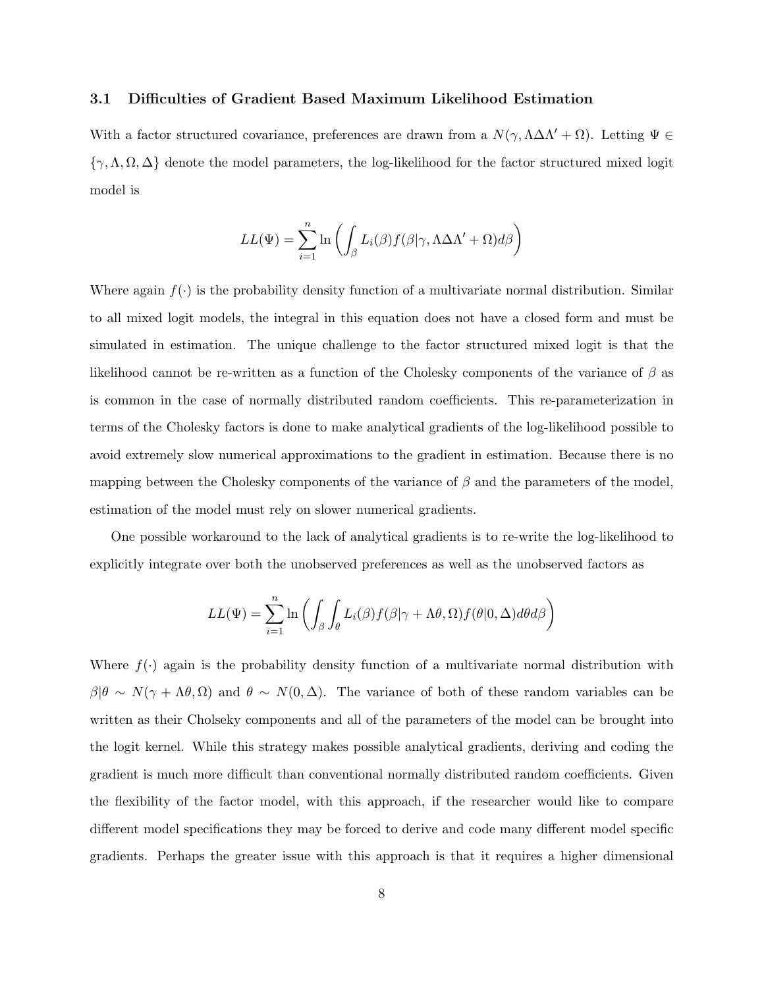### 3.1 Difficulties of Gradient Based Maximum Likelihood Estimation

With a factor structured covariance, preferences are drawn from a  $N(\gamma, \Lambda \Delta \Lambda' + \Omega)$ . Letting  $\Psi \in$  $\{\gamma, \Lambda, \Omega, \Delta\}$  denote the model parameters, the log-likelihood for the factor structured mixed logit model is

$$
LL(\Psi) = \sum_{i=1}^{n} \ln \left( \int_{\beta} L_i(\beta) f(\beta | \gamma, \Lambda \Delta \Lambda' + \Omega) d\beta \right)
$$

Where again  $f(\cdot)$  is the probability density function of a multivariate normal distribution. Similar to all mixed logit models, the integral in this equation does not have a closed form and must be simulated in estimation. The unique challenge to the factor structured mixed logit is that the likelihood cannot be re-written as a function of the Cholesky components of the variance of  $\beta$  as is common in the case of normally distributed random coefficients. This re-parameterization in terms of the Cholesky factors is done to make analytical gradients of the log-likelihood possible to avoid extremely slow numerical approximations to the gradient in estimation. Because there is no mapping between the Cholesky components of the variance of  $\beta$  and the parameters of the model, estimation of the model must rely on slower numerical gradients.

One possible workaround to the lack of analytical gradients is to re-write the log-likelihood to explicitly integrate over both the unobserved preferences as well as the unobserved factors as

$$
LL(\Psi) = \sum_{i=1}^{n} \ln \left( \int_{\beta} \int_{\theta} L_i(\beta) f(\beta | \gamma + \Lambda \theta, \Omega) f(\theta | 0, \Delta) d\theta d\beta \right)
$$

Where  $f(\cdot)$  again is the probability density function of a multivariate normal distribution with  $\beta|\theta \sim N(\gamma + \Lambda\theta, \Omega)$  and  $\theta \sim N(0, \Delta)$ . The variance of both of these random variables can be written as their Cholseky components and all of the parameters of the model can be brought into the logit kernel. While this strategy makes possible analytical gradients, deriving and coding the gradient is much more difficult than conventional normally distributed random coefficients. Given the flexibility of the factor model, with this approach, if the researcher would like to compare different model specifications they may be forced to derive and code many different model specific gradients. Perhaps the greater issue with this approach is that it requires a higher dimensional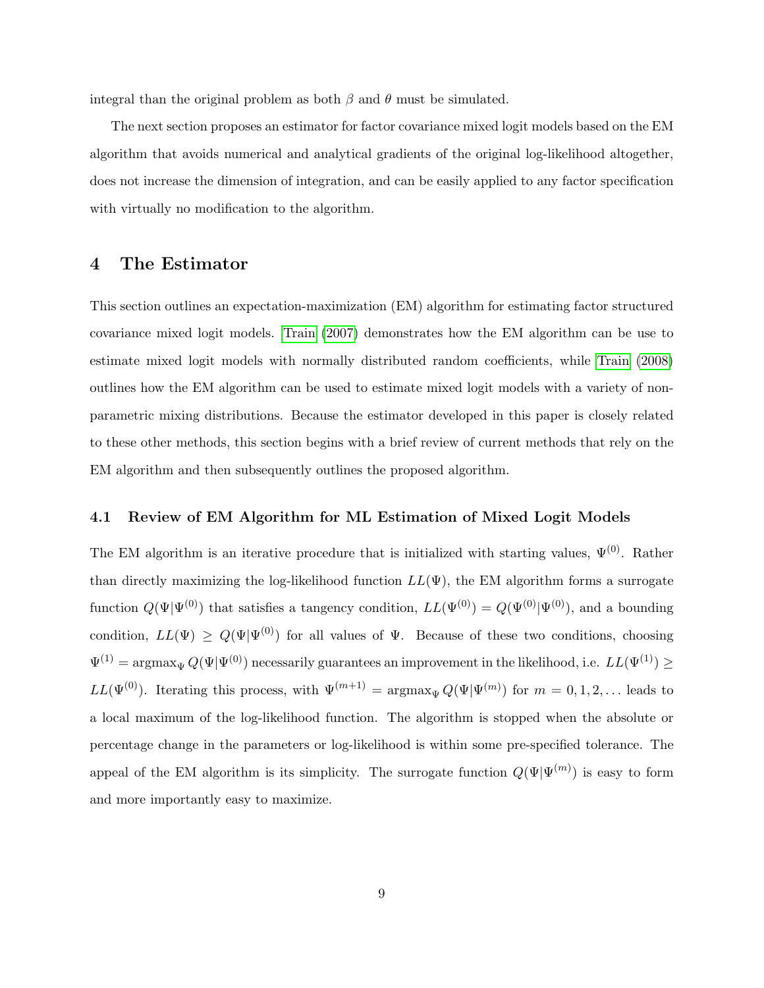integral than the original problem as both  $\beta$  and  $\theta$  must be simulated.

The next section proposes an estimator for factor covariance mixed logit models based on the EM algorithm that avoids numerical and analytical gradients of the original log-likelihood altogether, does not increase the dimension of integration, and can be easily applied to any factor specification with virtually no modification to the algorithm.

### <span id="page-8-0"></span>4 The Estimator

This section outlines an expectation-maximization (EM) algorithm for estimating factor structured covariance mixed logit models. [Train](#page-25-0) [\(2007\)](#page-25-0) demonstrates how the EM algorithm can be use to estimate mixed logit models with normally distributed random coefficients, while [Train](#page-25-2) [\(2008\)](#page-25-2) outlines how the EM algorithm can be used to estimate mixed logit models with a variety of nonparametric mixing distributions. Because the estimator developed in this paper is closely related to these other methods, this section begins with a brief review of current methods that rely on the EM algorithm and then subsequently outlines the proposed algorithm.

### 4.1 Review of EM Algorithm for ML Estimation of Mixed Logit Models

The EM algorithm is an iterative procedure that is initialized with starting values,  $\Psi^{(0)}$ . Rather than directly maximizing the log-likelihood function  $LL(\Psi)$ , the EM algorithm forms a surrogate function  $Q(\Psi|\Psi^{(0)})$  that satisfies a tangency condition,  $LL(\Psi^{(0)}) = Q(\Psi^{(0)}|\Psi^{(0)})$ , and a bounding condition,  $LL(\Psi) \ge Q(\Psi | \Psi^{(0)})$  for all values of  $\Psi$ . Because of these two conditions, choosing  $\Psi^{(1)} = \argmax_{\Psi} Q(\Psi | \Psi^{(0)})$  necessarily guarantees an improvement in the likelihood, i.e.  $LL(\Psi^{(1)}) \geq$  $LL(\Psi^{(0)})$ . Iterating this process, with  $\Psi^{(m+1)} = \arg \max_{\Psi} Q(\Psi | \Psi^{(m)})$  for  $m = 0, 1, 2, ...$  leads to a local maximum of the log-likelihood function. The algorithm is stopped when the absolute or percentage change in the parameters or log-likelihood is within some pre-specified tolerance. The appeal of the EM algorithm is its simplicity. The surrogate function  $Q(\Psi|\Psi^{(m)})$  is easy to form and more importantly easy to maximize.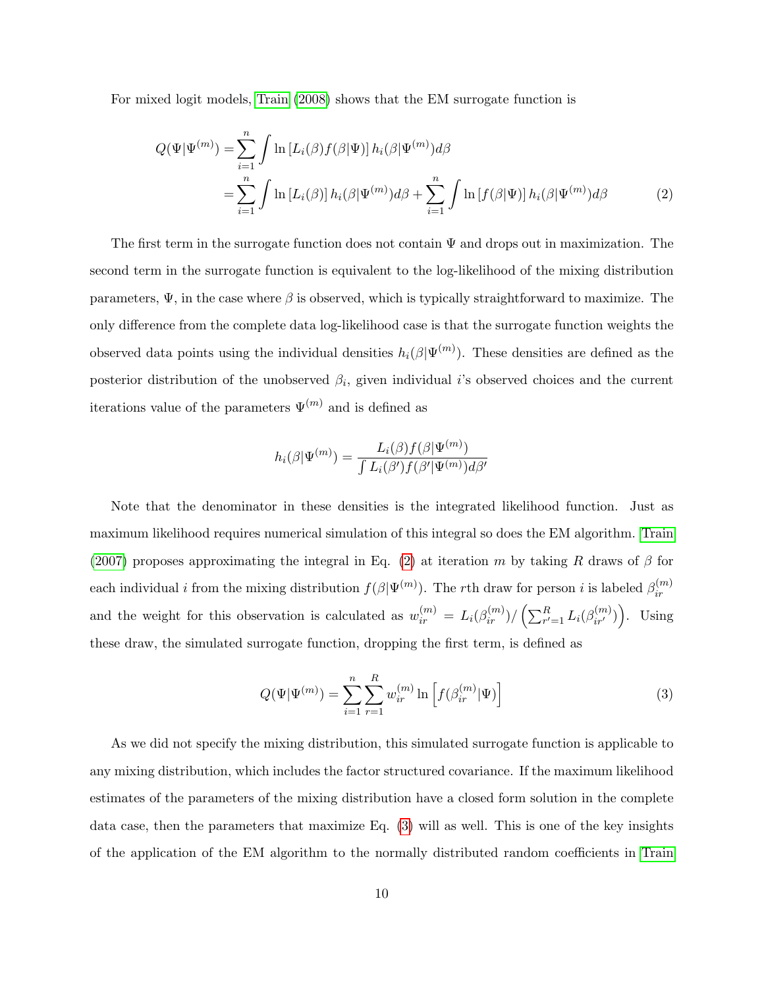For mixed logit models, [Train](#page-25-2) [\(2008\)](#page-25-2) shows that the EM surrogate function is

$$
Q(\Psi|\Psi^{(m)}) = \sum_{i=1}^{n} \int \ln \left[L_i(\beta) f(\beta|\Psi)\right] h_i(\beta|\Psi^{(m)}) d\beta
$$
  
= 
$$
\sum_{i=1}^{n} \int \ln \left[L_i(\beta)\right] h_i(\beta|\Psi^{(m)}) d\beta + \sum_{i=1}^{n} \int \ln \left[f(\beta|\Psi)\right] h_i(\beta|\Psi^{(m)}) d\beta
$$
 (2)

The first term in the surrogate function does not contain  $\Psi$  and drops out in maximization. The second term in the surrogate function is equivalent to the log-likelihood of the mixing distribution parameters,  $\Psi$ , in the case where  $\beta$  is observed, which is typically straightforward to maximize. The only difference from the complete data log-likelihood case is that the surrogate function weights the observed data points using the individual densities  $h_i(\beta|\Psi^{(m)})$ . These densities are defined as the posterior distribution of the unobserved  $\beta_i$ , given individual *i*'s observed choices and the current iterations value of the parameters  $\Psi^{(m)}$  and is defined as

<span id="page-9-0"></span>
$$
h_i(\beta|\Psi^{(m)}) = \frac{L_i(\beta)f(\beta|\Psi^{(m)})}{\int L_i(\beta')f(\beta'|\Psi^{(m)})d\beta'}
$$

Note that the denominator in these densities is the integrated likelihood function. Just as maximum likelihood requires numerical simulation of this integral so does the EM algorithm. [Train](#page-25-0) [\(2007\)](#page-25-0) proposes approximating the integral in Eq. [\(2\)](#page-9-0) at iteration m by taking R draws of  $\beta$  for each individual *i* from the mixing distribution  $f(\beta|\Psi^{(m)})$ . The rth draw for person *i* is labeled  $\beta_{ir}^{(m)}$ ir and the weight for this observation is calculated as  $w_{ir}^{(m)} = L_i(\beta_{ir}^{(m)}) / (\sum_{r'=1}^R L_i(\beta_{ir'}^{(m)}) )$ . Using these draw, the simulated surrogate function, dropping the first term, is defined as

<span id="page-9-1"></span>
$$
Q(\Psi|\Psi^{(m)}) = \sum_{i=1}^{n} \sum_{r=1}^{R} w_{ir}^{(m)} \ln \left[ f(\beta_{ir}^{(m)}|\Psi) \right]
$$
(3)

As we did not specify the mixing distribution, this simulated surrogate function is applicable to any mixing distribution, which includes the factor structured covariance. If the maximum likelihood estimates of the parameters of the mixing distribution have a closed form solution in the complete data case, then the parameters that maximize Eq. [\(3\)](#page-9-1) will as well. This is one of the key insights of the application of the EM algorithm to the normally distributed random coefficients in [Train](#page-25-0)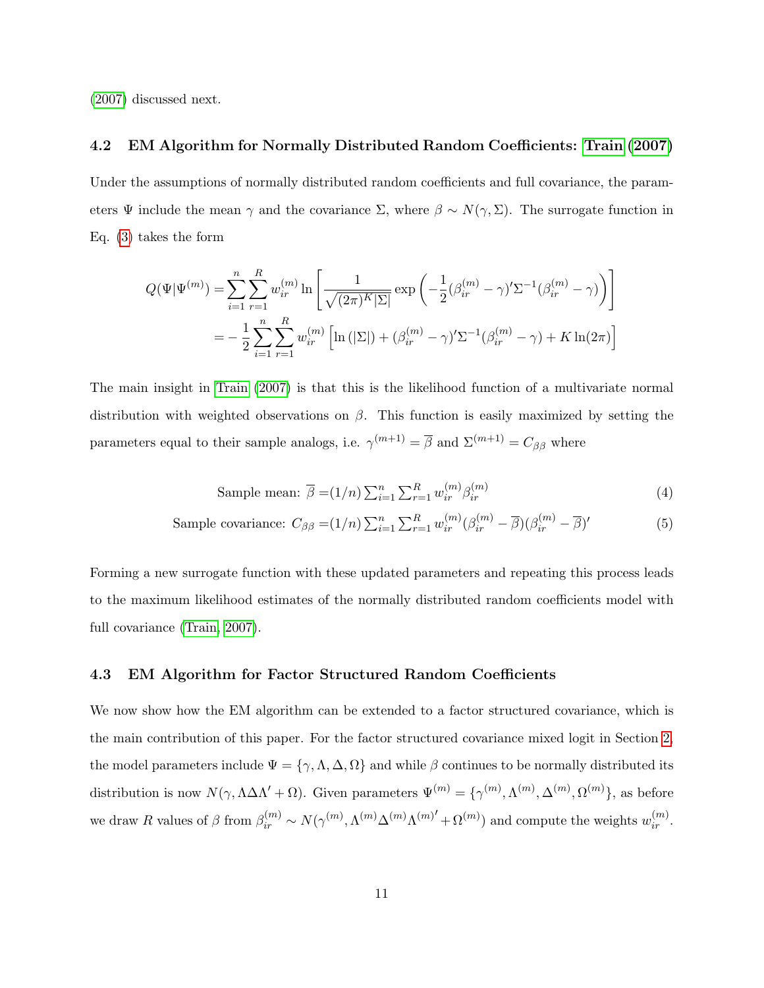[\(2007\)](#page-25-0) discussed next.

### 4.2 EM Algorithm for Normally Distributed Random Coefficients: [Train](#page-25-0) [\(2007\)](#page-25-0)

Under the assumptions of normally distributed random coefficients and full covariance, the parameters  $\Psi$  include the mean  $\gamma$  and the covariance  $\Sigma$ , where  $\beta \sim N(\gamma, \Sigma)$ . The surrogate function in Eq. [\(3\)](#page-9-1) takes the form

$$
Q(\Psi|\Psi^{(m)}) = \sum_{i=1}^{n} \sum_{r=1}^{R} w_{ir}^{(m)} \ln \left[ \frac{1}{\sqrt{(2\pi)^K |\Sigma|}} \exp \left( -\frac{1}{2} (\beta_{ir}^{(m)} - \gamma)' \Sigma^{-1} (\beta_{ir}^{(m)} - \gamma) \right) \right]
$$
  
= 
$$
-\frac{1}{2} \sum_{i=1}^{n} \sum_{r=1}^{R} w_{ir}^{(m)} \left[ \ln (|\Sigma|) + (\beta_{ir}^{(m)} - \gamma)' \Sigma^{-1} (\beta_{ir}^{(m)} - \gamma) + K \ln(2\pi) \right]
$$

The main insight in [Train](#page-25-0) [\(2007\)](#page-25-0) is that this is the likelihood function of a multivariate normal distribution with weighted observations on  $\beta$ . This function is easily maximized by setting the parameters equal to their sample analogs, i.e.  $\gamma^{(m+1)} = \overline{\beta}$  and  $\Sigma^{(m+1)} = C_{\beta\beta}$  where

<span id="page-10-1"></span><span id="page-10-0"></span>Sample mean: 
$$
\overline{\beta} = (1/n) \sum_{i=1}^{n} \sum_{r=1}^{R} w_{ir}^{(m)} \beta_{ir}^{(m)}
$$
 (4)

Sample covariance: 
$$
C_{\beta\beta} = (1/n) \sum_{i=1}^{n} \sum_{r=1}^{R} w_{ir}^{(m)} (\beta_{ir}^{(m)} - \overline{\beta}) (\beta_{ir}^{(m)} - \overline{\beta})'
$$
 (5)

Forming a new surrogate function with these updated parameters and repeating this process leads to the maximum likelihood estimates of the normally distributed random coefficients model with full covariance [\(Train, 2007\)](#page-25-0).

#### 4.3 EM Algorithm for Factor Structured Random Coefficients

We now show how the EM algorithm can be extended to a factor structured covariance, which is the main contribution of this paper. For the factor structured covariance mixed logit in Section [2,](#page-3-0) the model parameters include  $\Psi = {\gamma, \Lambda, \Delta, \Omega}$  and while  $\beta$  continues to be normally distributed its distribution is now  $N(\gamma, \Lambda \Delta \Lambda' + \Omega)$ . Given parameters  $\Psi^{(m)} = {\gamma^{(m)}, \Lambda^{(m)}, \Delta^{(m)}, \Omega^{(m)}}$ , as before we draw R values of  $\beta$  from  $\beta_{ir}^{(m)} \sim N(\gamma^{(m)}, \Lambda^{(m)}\Delta^{(m)}\Lambda^{(m)'} + \Omega^{(m)})$  and compute the weights  $w_{ir}^{(m)}$ .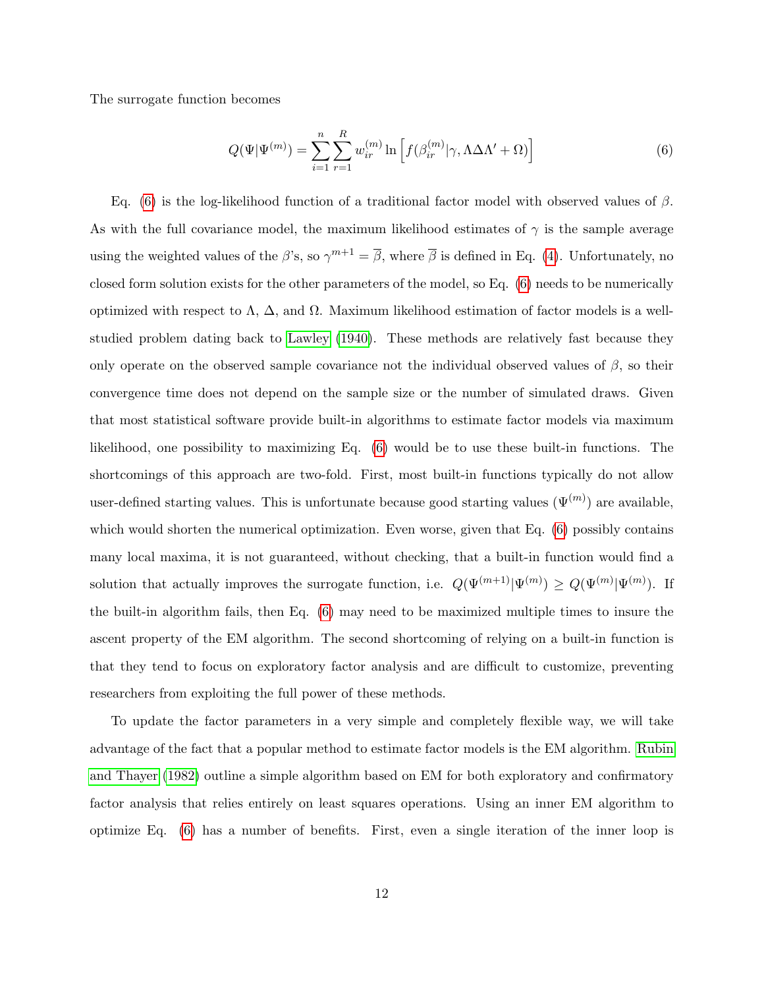The surrogate function becomes

<span id="page-11-0"></span>
$$
Q(\Psi|\Psi^{(m)}) = \sum_{i=1}^{n} \sum_{r=1}^{R} w_{ir}^{(m)} \ln \left[ f(\beta_{ir}^{(m)}|\gamma, \Lambda \Delta \Lambda' + \Omega) \right]
$$
(6)

Eq. [\(6\)](#page-11-0) is the log-likelihood function of a traditional factor model with observed values of β. As with the full covariance model, the maximum likelihood estimates of  $\gamma$  is the sample average using the weighted values of the  $\beta$ 's, so  $\gamma^{m+1} = \overline{\beta}$ , where  $\overline{\beta}$  is defined in Eq. [\(4\)](#page-10-0). Unfortunately, no closed form solution exists for the other parameters of the model, so Eq. [\(6\)](#page-11-0) needs to be numerically optimized with respect to Λ, ∆, and Ω. Maximum likelihood estimation of factor models is a wellstudied problem dating back to [Lawley](#page-25-5) [\(1940\)](#page-25-5). These methods are relatively fast because they only operate on the observed sample covariance not the individual observed values of  $\beta$ , so their convergence time does not depend on the sample size or the number of simulated draws. Given that most statistical software provide built-in algorithms to estimate factor models via maximum likelihood, one possibility to maximizing Eq. [\(6\)](#page-11-0) would be to use these built-in functions. The shortcomings of this approach are two-fold. First, most built-in functions typically do not allow user-defined starting values. This is unfortunate because good starting values  $(\Psi^{(m)})$  are available, which would shorten the numerical optimization. Even worse, given that Eq.  $(6)$  possibly contains many local maxima, it is not guaranteed, without checking, that a built-in function would find a solution that actually improves the surrogate function, i.e.  $Q(\Psi^{(m+1)} | \Psi^{(m)}) \geq Q(\Psi^{(m)} | \Psi^{(m)})$ . If the built-in algorithm fails, then Eq. [\(6\)](#page-11-0) may need to be maximized multiple times to insure the ascent property of the EM algorithm. The second shortcoming of relying on a built-in function is that they tend to focus on exploratory factor analysis and are difficult to customize, preventing researchers from exploiting the full power of these methods.

To update the factor parameters in a very simple and completely flexible way, we will take advantage of the fact that a popular method to estimate factor models is the EM algorithm. [Rubin](#page-25-3) [and Thayer](#page-25-3) [\(1982\)](#page-25-3) outline a simple algorithm based on EM for both exploratory and confirmatory factor analysis that relies entirely on least squares operations. Using an inner EM algorithm to optimize Eq. [\(6\)](#page-11-0) has a number of benefits. First, even a single iteration of the inner loop is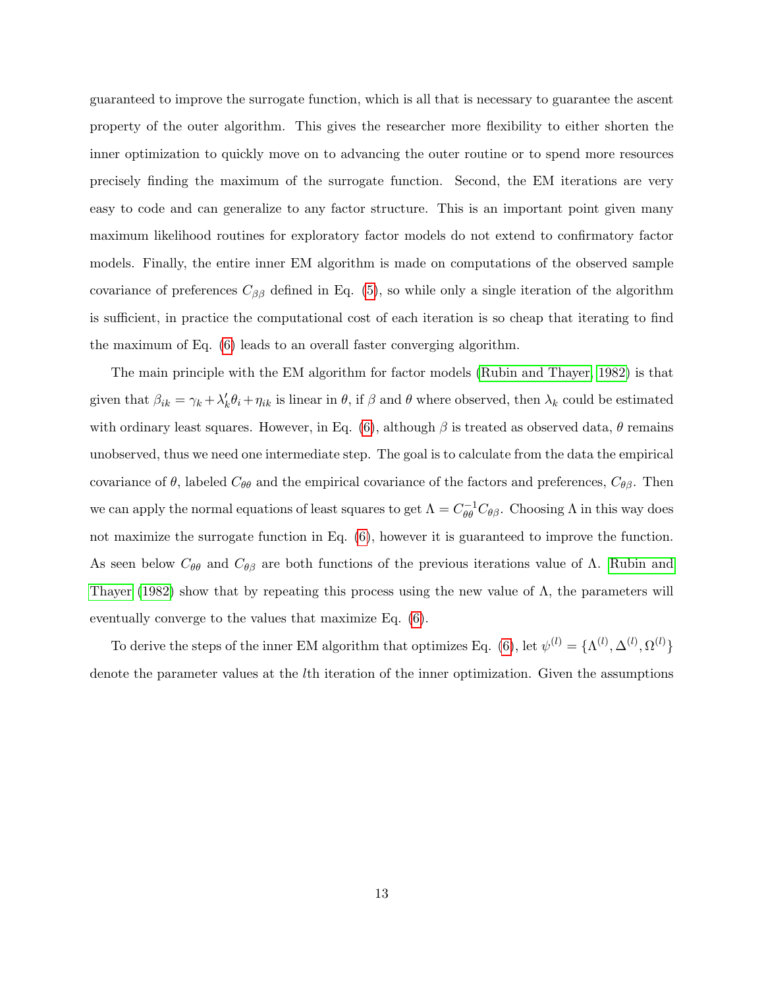guaranteed to improve the surrogate function, which is all that is necessary to guarantee the ascent property of the outer algorithm. This gives the researcher more flexibility to either shorten the inner optimization to quickly move on to advancing the outer routine or to spend more resources precisely finding the maximum of the surrogate function. Second, the EM iterations are very easy to code and can generalize to any factor structure. This is an important point given many maximum likelihood routines for exploratory factor models do not extend to confirmatory factor models. Finally, the entire inner EM algorithm is made on computations of the observed sample covariance of preferences  $C_{\beta\beta}$  defined in Eq. [\(5\)](#page-10-1), so while only a single iteration of the algorithm is sufficient, in practice the computational cost of each iteration is so cheap that iterating to find the maximum of Eq. [\(6\)](#page-11-0) leads to an overall faster converging algorithm.

The main principle with the EM algorithm for factor models [\(Rubin and Thayer, 1982\)](#page-25-3) is that given that  $\beta_{ik} = \gamma_k + \lambda'_k \theta_i + \eta_{ik}$  is linear in  $\theta$ , if  $\beta$  and  $\theta$  where observed, then  $\lambda_k$  could be estimated with ordinary least squares. However, in Eq. [\(6\)](#page-11-0), although  $\beta$  is treated as observed data,  $\theta$  remains unobserved, thus we need one intermediate step. The goal is to calculate from the data the empirical covariance of  $\theta$ , labeled  $C_{\theta\theta}$  and the empirical covariance of the factors and preferences,  $C_{\theta\beta}$ . Then we can apply the normal equations of least squares to get  $\Lambda = C_{\theta\theta}^{-1} C_{\theta\beta}$ . Choosing  $\Lambda$  in this way does not maximize the surrogate function in Eq. [\(6\)](#page-11-0), however it is guaranteed to improve the function. As seen below  $C_{\theta\theta}$  and  $C_{\theta\beta}$  are both functions of the previous iterations value of  $\Lambda$ . [Rubin and](#page-25-3) [Thayer](#page-25-3) [\(1982\)](#page-25-3) show that by repeating this process using the new value of  $\Lambda$ , the parameters will eventually converge to the values that maximize Eq. [\(6\)](#page-11-0).

To derive the steps of the inner EM algorithm that optimizes Eq. [\(6\)](#page-11-0), let  $\psi^{(l)} = {\Lambda^{(l)}, \Delta^{(l)}, \Omega^{(l)}}$ denote the parameter values at the lth iteration of the inner optimization. Given the assumptions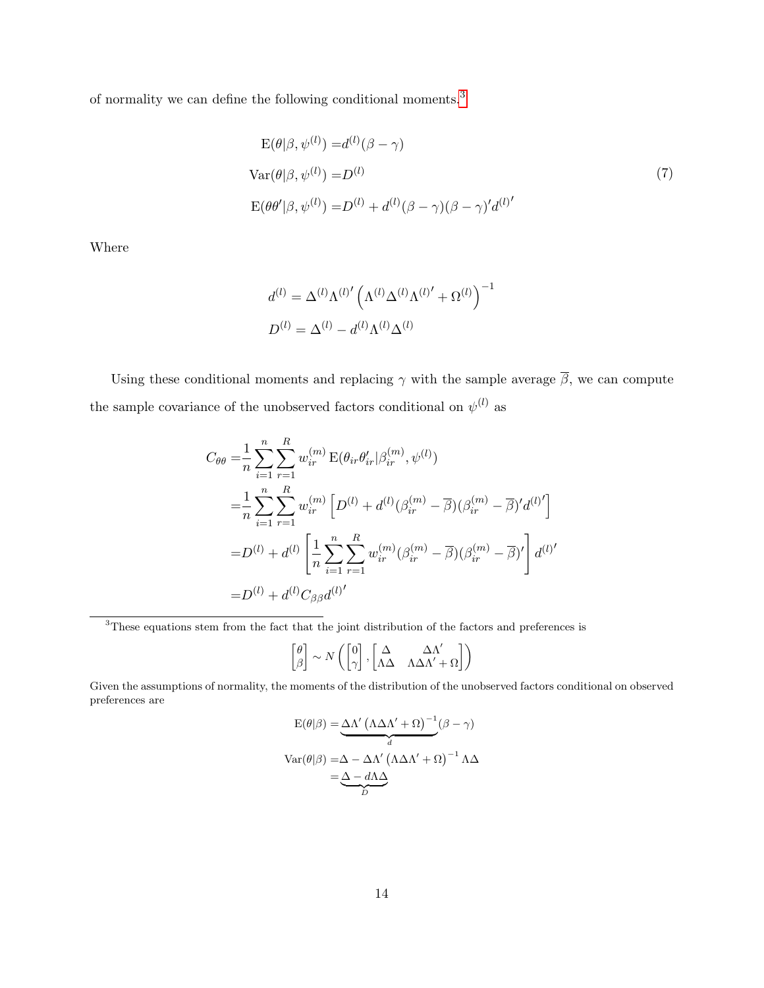of normality we can define the following conditional moments.[3](#page-13-0)

<span id="page-13-1"></span>
$$
E(\theta|\beta, \psi^{(l)}) = d^{(l)}(\beta - \gamma)
$$
  
\n
$$
Var(\theta|\beta, \psi^{(l)}) = D^{(l)}
$$
  
\n
$$
E(\theta \theta'|\beta, \psi^{(l)}) = D^{(l)} + d^{(l)}(\beta - \gamma)(\beta - \gamma)'d^{(l)'} \tag{7}
$$

Where

$$
d^{(l)} = \Delta^{(l)} \Lambda^{(l)'} \left( \Lambda^{(l)} \Delta^{(l)} \Lambda^{(l)'} + \Omega^{(l)} \right)^{-1}
$$

$$
D^{(l)} = \Delta^{(l)} - d^{(l)} \Lambda^{(l)} \Delta^{(l)}
$$

Using these conditional moments and replacing  $\gamma$  with the sample average  $\overline{\beta}$ , we can compute the sample covariance of the unobserved factors conditional on  $\psi^{(l)}$  as

$$
C_{\theta\theta} = \frac{1}{n} \sum_{i=1}^{n} \sum_{r=1}^{R} w_{ir}^{(m)} \mathbf{E}(\theta_{ir} \theta'_{ir} | \beta_{ir}^{(m)}, \psi^{(l)})
$$
  
\n
$$
= \frac{1}{n} \sum_{i=1}^{n} \sum_{r=1}^{R} w_{ir}^{(m)} \left[ D^{(l)} + d^{(l)}(\beta_{ir}^{(m)} - \overline{\beta})(\beta_{ir}^{(m)} - \overline{\beta})' d^{(l)} \right]
$$
  
\n
$$
= D^{(l)} + d^{(l)} \left[ \frac{1}{n} \sum_{i=1}^{n} \sum_{r=1}^{R} w_{ir}^{(m)}(\beta_{ir}^{(m)} - \overline{\beta})(\beta_{ir}^{(m)} - \overline{\beta})' \right] d^{(l)'} \newline = D^{(l)} + d^{(l)}C_{\beta\beta}d^{(l)'}
$$

<span id="page-13-0"></span><sup>3</sup>These equations stem from the fact that the joint distribution of the factors and preferences is

$$
\begin{bmatrix} \theta \\ \beta \end{bmatrix} \sim N\left(\begin{bmatrix} 0 \\ \gamma \end{bmatrix}, \begin{bmatrix} \Delta & \Delta \Lambda' \\ \Lambda \Delta & \Lambda \Delta \Lambda' + \Omega \end{bmatrix}\right)
$$

Given the assumptions of normality, the moments of the distribution of the unobserved factors conditional on observed preferences are

$$
E(\theta|\beta) = \underbrace{\Delta\Lambda' (\Lambda\Delta\Lambda' + \Omega)^{-1}}_{d} (\beta - \gamma)
$$

$$
Var(\theta|\beta) = \Delta - \Delta\Lambda' (\Lambda\Delta\Lambda' + \Omega)^{-1} \Lambda\Delta
$$

$$
= \underbrace{\Delta - d\Lambda\Delta}_{D}
$$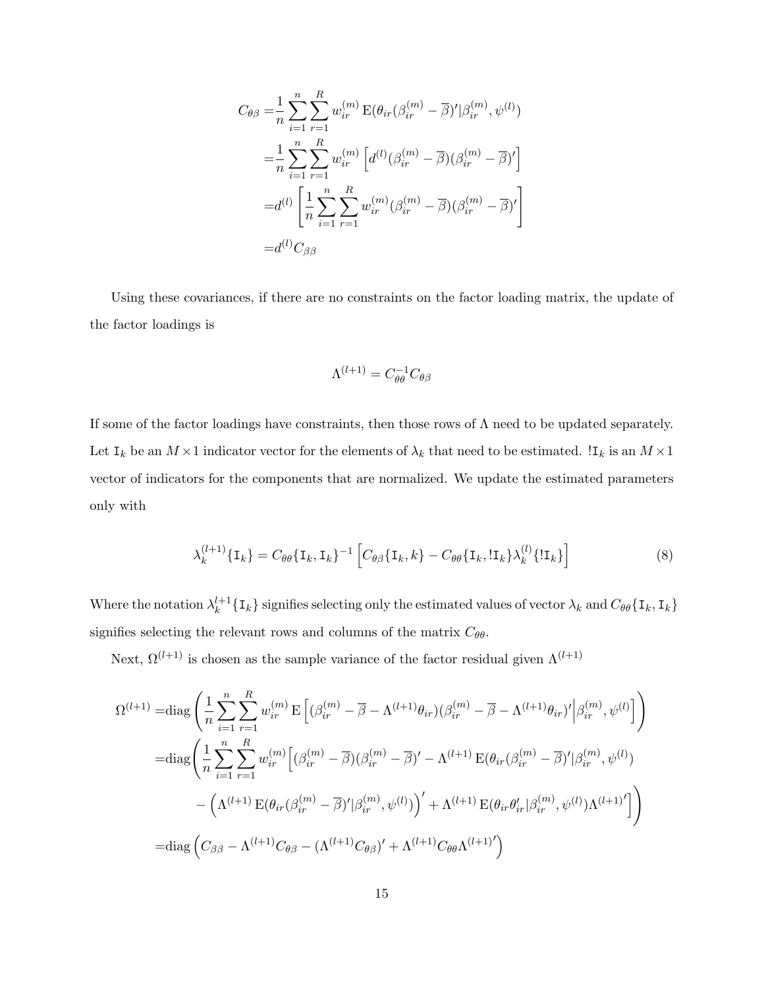$$
C_{\theta\beta} = \frac{1}{n} \sum_{i=1}^{n} \sum_{r=1}^{R} w_{ir}^{(m)} \mathbf{E}(\theta_{ir}(\beta_{ir}^{(m)} - \overline{\beta})' |\beta_{ir}^{(m)}, \psi^{(l)})
$$
  
\n
$$
= \frac{1}{n} \sum_{i=1}^{n} \sum_{r=1}^{R} w_{ir}^{(m)} \left[ d^{(l)}(\beta_{ir}^{(m)} - \overline{\beta}) (\beta_{ir}^{(m)} - \overline{\beta})' \right]
$$
  
\n
$$
= d^{(l)} \left[ \frac{1}{n} \sum_{i=1}^{n} \sum_{r=1}^{R} w_{ir}^{(m)} (\beta_{ir}^{(m)} - \overline{\beta}) (\beta_{ir}^{(m)} - \overline{\beta})' \right]
$$
  
\n
$$
= d^{(l)} C_{\beta\beta}
$$

Using these covariances, if there are no constraints on the factor loading matrix, the update of the factor loadings is

<span id="page-14-0"></span>
$$
\Lambda^{(l+1)} = C_{\theta\theta}^{-1} C_{\theta\beta}
$$

If some of the factor loadings have constraints, then those rows of  $\Lambda$  need to be updated separately. Let  $I_k$  be an  $M \times 1$  indicator vector for the elements of  $\lambda_k$  that need to be estimated.  $I_k$  is an  $M \times 1$ vector of indicators for the components that are normalized. We update the estimated parameters only with

$$
\lambda_k^{(l+1)}\{\mathbf{I}_k\} = C_{\theta\theta}\{\mathbf{I}_k, \mathbf{I}_k\}^{-1} \left[C_{\theta\beta}\{\mathbf{I}_k, k\} - C_{\theta\theta}\{\mathbf{I}_k, \text{!}\mathbf{I}_k\}\lambda_k^{(l)}\{\text{!}\mathbf{I}_k\}\right]
$$
(8)

Where the notation  $\lambda_k^{l+1}$  $\{I_k\}$  signifies selecting only the estimated values of vector  $\lambda_k$  and  $C_{\theta\theta}$  { $I_k$ ,  $I_k$ } signifies selecting the relevant rows and columns of the matrix  $C_{\theta\theta}$ .

Next,  $\Omega^{(l+1)}$  is chosen as the sample variance of the factor residual given  $\Lambda^{(l+1)}$ 

$$
\Omega^{(l+1)} = \text{diag}\left(\frac{1}{n}\sum_{i=1}^{n}\sum_{r=1}^{R}w_{ir}^{(m)}\operatorname{E}\left[(\beta_{ir}^{(m)} - \overline{\beta} - \Lambda^{(l+1)}\theta_{ir})(\beta_{ir}^{(m)} - \overline{\beta} - \Lambda^{(l+1)}\theta_{ir})'\Big|\beta_{ir}^{(m)},\psi^{(l)}\right]\right)
$$

$$
= \text{diag}\left(\frac{1}{n}\sum_{i=1}^{n}\sum_{r=1}^{R}w_{ir}^{(m)}\left[(\beta_{ir}^{(m)} - \overline{\beta})(\beta_{ir}^{(m)} - \overline{\beta})' - \Lambda^{(l+1)}\operatorname{E}(\theta_{ir}(\beta_{ir}^{(m)} - \overline{\beta})'|\beta_{ir}^{(m)},\psi^{(l)})\right)\right)
$$

$$
-\left(\Lambda^{(l+1)}\operatorname{E}(\theta_{ir}(\beta_{ir}^{(m)} - \overline{\beta})'|\beta_{ir}^{(m)},\psi^{(l)})\right)' + \Lambda^{(l+1)}\operatorname{E}(\theta_{ir}\theta_{ir}'|\beta_{ir}^{(m)},\psi^{(l)})\Lambda^{(l+1)'}\right]
$$

$$
= \text{diag}\left(C_{\beta\beta} - \Lambda^{(l+1)}C_{\theta\beta} - (\Lambda^{(l+1)}C_{\theta\beta})' + \Lambda^{(l+1)}C_{\theta\theta}\Lambda^{(l+1)'}\right)
$$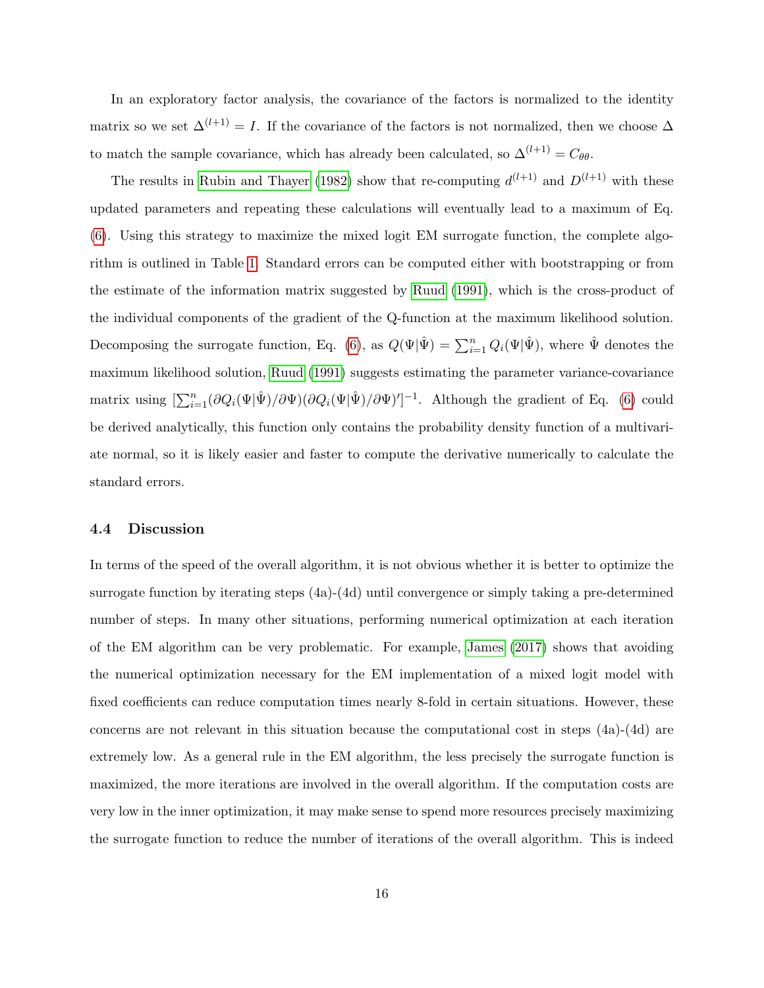In an exploratory factor analysis, the covariance of the factors is normalized to the identity matrix so we set  $\Delta^{(l+1)} = I$ . If the covariance of the factors is not normalized, then we choose  $\Delta$ to match the sample covariance, which has already been calculated, so  $\Delta^{(l+1)} = C_{\theta\theta}$ .

The results in [Rubin and Thayer](#page-25-3) [\(1982\)](#page-25-3) show that re-computing  $d^{(l+1)}$  and  $D^{(l+1)}$  with these updated parameters and repeating these calculations will eventually lead to a maximum of Eq. [\(6\)](#page-11-0). Using this strategy to maximize the mixed logit EM surrogate function, the complete algorithm is outlined in Table [1.](#page-16-0) Standard errors can be computed either with bootstrapping or from the estimate of the information matrix suggested by [Ruud](#page-25-6) [\(1991\)](#page-25-6), which is the cross-product of the individual components of the gradient of the Q-function at the maximum likelihood solution. Decomposing the surrogate function, Eq. [\(6\)](#page-11-0), as  $Q(\Psi|\hat{\Psi}) = \sum_{i=1}^{n} Q_i(\Psi|\hat{\Psi})$ , where  $\hat{\Psi}$  denotes the maximum likelihood solution, [Ruud](#page-25-6) [\(1991\)](#page-25-6) suggests estimating the parameter variance-covariance matrix using  $\left[\sum_{i=1}^n (\partial Q_i(\Psi|\hat{\Psi})/\partial \Psi)(\partial Q_i(\Psi|\hat{\Psi})/\partial \Psi)'\right]^{-1}$ . Although the gradient of Eq. [\(6\)](#page-11-0) could be derived analytically, this function only contains the probability density function of a multivariate normal, so it is likely easier and faster to compute the derivative numerically to calculate the standard errors.

#### 4.4 Discussion

In terms of the speed of the overall algorithm, it is not obvious whether it is better to optimize the surrogate function by iterating steps (4a)-(4d) until convergence or simply taking a pre-determined number of steps. In many other situations, performing numerical optimization at each iteration of the EM algorithm can be very problematic. For example, [James](#page-24-4) [\(2017\)](#page-24-4) shows that avoiding the numerical optimization necessary for the EM implementation of a mixed logit model with fixed coefficients can reduce computation times nearly 8-fold in certain situations. However, these concerns are not relevant in this situation because the computational cost in steps (4a)-(4d) are extremely low. As a general rule in the EM algorithm, the less precisely the surrogate function is maximized, the more iterations are involved in the overall algorithm. If the computation costs are very low in the inner optimization, it may make sense to spend more resources precisely maximizing the surrogate function to reduce the number of iterations of the overall algorithm. This is indeed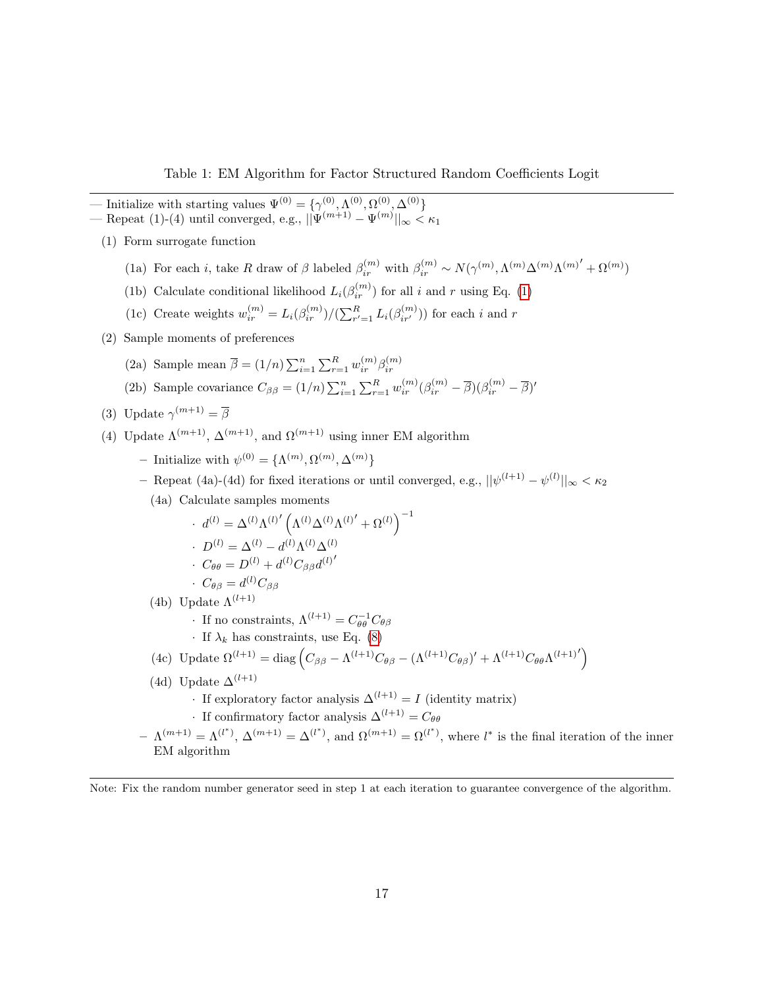Table 1: EM Algorithm for Factor Structured Random Coefficients Logit

<span id="page-16-0"></span>— Initialize with starting values  $\Psi^{(0)} = {\gamma^{(0)}, \Lambda^{(0)}, \Omega^{(0)}, \Delta^{(0)}}$  $\text{ - Repeat (1)-(4) until converged, e.g., } ||\Psi^{(m+1)} - \Psi^{(m)}||_{\infty} < \kappa_1$ 

- (1) Form surrogate function
	- (1a) For each *i*, take R draw of  $\beta$  labeled  $\beta_{ir}^{(m)}$  with  $\beta_{ir}^{(m)} \sim N(\gamma^{(m)}, \Lambda^{(m)}{\Delta^{(m)}}{\Lambda^{(m)}}' + {\Omega^{(m)}})$
	- (1b) Calculate conditional likelihood  $L_i(\beta_{ir}^{(m)})$  for all i and r using Eq. [\(1\)](#page-3-1)
	- (1c) Create weights  $w_{ir}^{(m)} = L_i(\beta_{ir}^{(m)})/(\sum_{r'=1}^R L_i(\beta_{ir'}^{(m)}))$  for each i and r
- (2) Sample moments of preferences
	- (2a) Sample mean  $\overline{\beta} = (1/n) \sum_{i=1}^n \sum_{r=1}^R w_{ir}^{(m)} \beta_{ir}^{(m)}$
	- (2b) Sample covariance  $C_{\beta\beta} = (1/n) \sum_{i=1}^n \sum_{r=1}^R w_{ir}^{(m)} (\beta_{ir}^{(m)} \overline{\beta})(\beta_{ir}^{(m)} \overline{\beta})'$
- (3) Update  $\gamma^{(m+1)} = \overline{\beta}$
- (4) Update  $\Lambda^{(m+1)}$ ,  $\Delta^{(m+1)}$ , and  $\Omega^{(m+1)}$  using inner EM algorithm
	- Initialize with  $\psi^{(0)} = {\Lambda^{(m)}, \Omega^{(m)}, \Delta^{(m)}}$
	- Repeat (4a)-(4d) for fixed iterations or until converged, e.g.,  $||\psi^{(l+1)} \psi^{(l)}||_{\infty} < \kappa_2$ 
		- (4a) Calculate samples moments

$$
d^{(l)} = \Delta^{(l)} \Lambda^{(l)'} \left( \Lambda^{(l)} \Delta^{(l)} \Lambda^{(l)'} + \Omega^{(l)} \right)^{-1}
$$
  
. 
$$
D^{(l)} = \Delta^{(l)} - d^{(l)} \Lambda^{(l)} \Delta^{(l)}
$$
  
. 
$$
C_{\theta\theta} = D^{(l)} + d^{(l)} C_{\beta\beta} d^{(l)'} \cdot C_{\theta\beta} = d^{(l)} C_{\beta\beta}
$$

- (4b) Update  $\Lambda^{(l+1)}$ 
	- · If no constraints,  $\Lambda^{(l+1)} = C_{\theta\theta}^{-1} C_{\theta\beta}$
	- · If  $\lambda_k$  has constraints, use Eq. [\(8\)](#page-14-0)

(4c) Update 
$$
\Omega^{(l+1)} = \text{diag}\left(C_{\beta\beta} - \Lambda^{(l+1)}C_{\theta\beta} - (\Lambda^{(l+1)}C_{\theta\beta})' + \Lambda^{(l+1)}C_{\theta\theta}\Lambda^{(l+1)}'\right)
$$

(4d) Update  $\Delta^{(l+1)}$ 

• If exploratory factor analysis  $\Delta^{(l+1)} = I$  (identity matrix)

- If confirmatory factor analysis  $\Delta^{(l+1)} = C_{\theta\theta}$
- $-\Lambda^{(m+1)}=\Lambda^{(l^*)}, \Delta^{(m+1)}=\Delta^{(l^*)},$  and  $\Omega^{(m+1)}=\Omega^{(l^*)}$ , where  $l^*$  is the final iteration of the inner EM algorithm

Note: Fix the random number generator seed in step 1 at each iteration to guarantee convergence of the algorithm.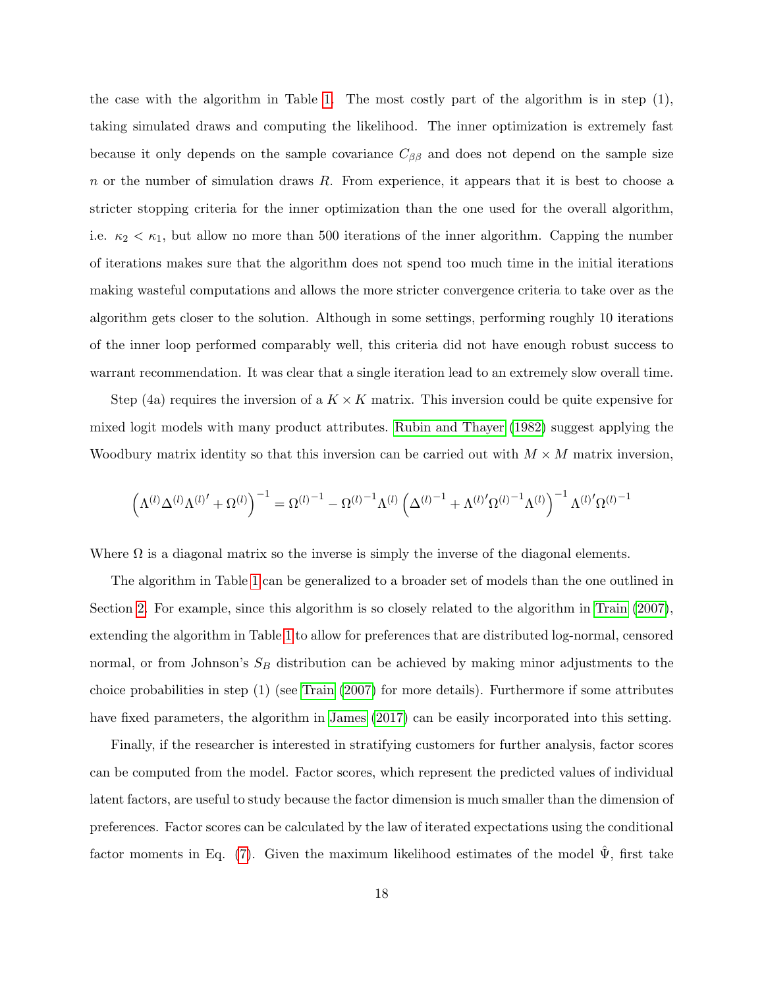the case with the algorithm in Table [1.](#page-16-0) The most costly part of the algorithm is in step (1), taking simulated draws and computing the likelihood. The inner optimization is extremely fast because it only depends on the sample covariance  $C_{\beta\beta}$  and does not depend on the sample size  $n$  or the number of simulation draws  $R$ . From experience, it appears that it is best to choose a stricter stopping criteria for the inner optimization than the one used for the overall algorithm, i.e.  $\kappa_2 < \kappa_1$ , but allow no more than 500 iterations of the inner algorithm. Capping the number of iterations makes sure that the algorithm does not spend too much time in the initial iterations making wasteful computations and allows the more stricter convergence criteria to take over as the algorithm gets closer to the solution. Although in some settings, performing roughly 10 iterations of the inner loop performed comparably well, this criteria did not have enough robust success to warrant recommendation. It was clear that a single iteration lead to an extremely slow overall time.

Step (4a) requires the inversion of a  $K \times K$  matrix. This inversion could be quite expensive for mixed logit models with many product attributes. [Rubin and Thayer](#page-25-3) [\(1982\)](#page-25-3) suggest applying the Woodbury matrix identity so that this inversion can be carried out with  $M \times M$  matrix inversion,

$$
\left(\Lambda^{(l)}\Delta^{(l)}\Lambda^{(l)\prime}+\Omega^{(l)}\right)^{-1}=\Omega^{(l)^{-1}}-\Omega^{(l)^{-1}}\Lambda^{(l)}\left(\Delta^{(l)^{-1}}+\Lambda^{(l)'}\Omega^{(l)^{-1}}\Lambda^{(l)}\right)^{-1}\Lambda^{(l)'}\Omega^{(l)^{-1}}
$$

Where  $\Omega$  is a diagonal matrix so the inverse is simply the inverse of the diagonal elements.

The algorithm in Table [1](#page-16-0) can be generalized to a broader set of models than the one outlined in Section [2.](#page-3-0) For example, since this algorithm is so closely related to the algorithm in [Train](#page-25-0) [\(2007\)](#page-25-0), extending the algorithm in Table [1](#page-16-0) to allow for preferences that are distributed log-normal, censored normal, or from Johnson's  $S_B$  distribution can be achieved by making minor adjustments to the choice probabilities in step (1) (see [Train](#page-25-0) [\(2007\)](#page-25-0) for more details). Furthermore if some attributes have fixed parameters, the algorithm in [James](#page-24-4) [\(2017\)](#page-24-4) can be easily incorporated into this setting.

Finally, if the researcher is interested in stratifying customers for further analysis, factor scores can be computed from the model. Factor scores, which represent the predicted values of individual latent factors, are useful to study because the factor dimension is much smaller than the dimension of preferences. Factor scores can be calculated by the law of iterated expectations using the conditional factor moments in Eq. [\(7\)](#page-13-1). Given the maximum likelihood estimates of the model  $\Psi$ , first take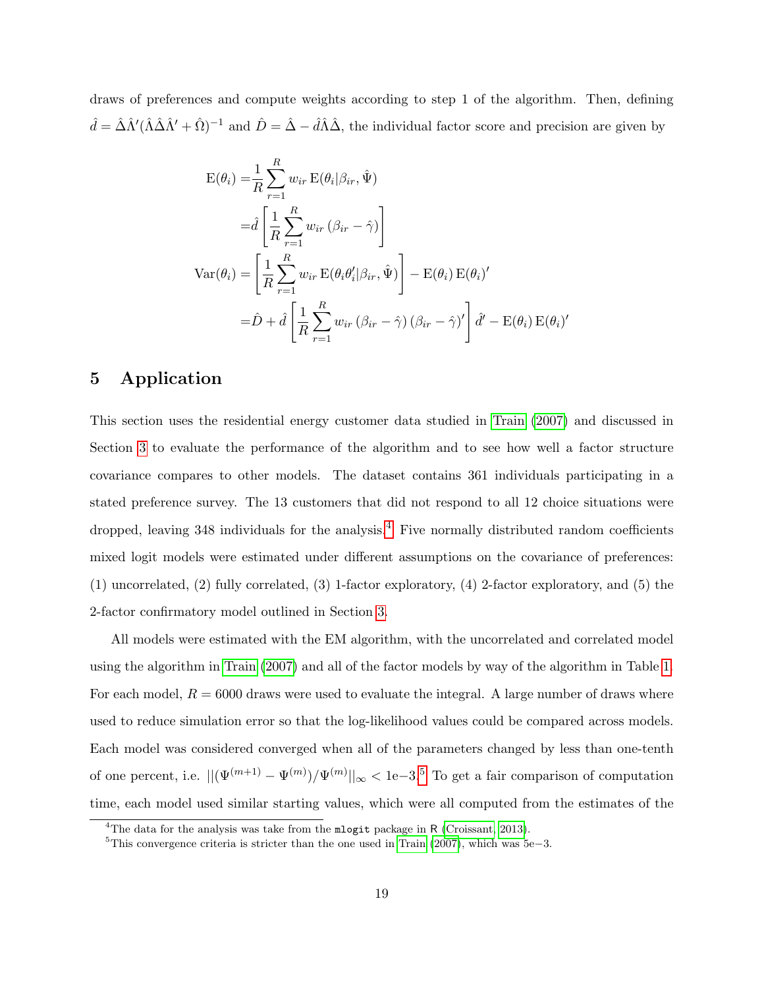draws of preferences and compute weights according to step 1 of the algorithm. Then, defining  $\hat{d} = \hat{\Delta} \hat{\Lambda}' (\hat{\Lambda} \hat{\Delta} \hat{\Lambda}' + \hat{\Omega})^{-1}$  and  $\hat{D} = \hat{\Delta} - \hat{d} \hat{\Lambda} \hat{\Delta}$ , the individual factor score and precision are given by

$$
E(\theta_i) = \frac{1}{R} \sum_{r=1}^{R} w_{ir} E(\theta_i | \beta_{ir}, \hat{\Psi})
$$
  
\n
$$
= \hat{d} \left[ \frac{1}{R} \sum_{r=1}^{R} w_{ir} (\beta_{ir} - \hat{\gamma}) \right]
$$
  
\n
$$
Var(\theta_i) = \left[ \frac{1}{R} \sum_{r=1}^{R} w_{ir} E(\theta_i \theta_i' | \beta_{ir}, \hat{\Psi}) \right] - E(\theta_i) E(\theta_i)'
$$
  
\n
$$
= \hat{D} + \hat{d} \left[ \frac{1}{R} \sum_{r=1}^{R} w_{ir} (\beta_{ir} - \hat{\gamma}) (\beta_{ir} - \hat{\gamma})' \right] \hat{d}' - E(\theta_i) E(\theta_i)'
$$

# <span id="page-18-0"></span>5 Application

This section uses the residential energy customer data studied in [Train](#page-25-0) [\(2007\)](#page-25-0) and discussed in Section [3](#page-5-0) to evaluate the performance of the algorithm and to see how well a factor structure covariance compares to other models. The dataset contains 361 individuals participating in a stated preference survey. The 13 customers that did not respond to all 12 choice situations were dropped, leaving  $348$  $348$  $348$  individuals for the analysis.<sup>4</sup> Five normally distributed random coefficients mixed logit models were estimated under different assumptions on the covariance of preferences: (1) uncorrelated, (2) fully correlated, (3) 1-factor exploratory, (4) 2-factor exploratory, and (5) the 2-factor confirmatory model outlined in Section [3.](#page-5-0)

All models were estimated with the EM algorithm, with the uncorrelated and correlated model using the algorithm in [Train](#page-25-0) [\(2007\)](#page-25-0) and all of the factor models by way of the algorithm in Table [1.](#page-16-0) For each model,  $R = 6000$  draws were used to evaluate the integral. A large number of draws where used to reduce simulation error so that the log-likelihood values could be compared across models. Each model was considered converged when all of the parameters changed by less than one-tenth of one percent, i.e.  $\|(\Psi^{(m+1)} - \Psi^{(m)}) / \Psi^{(m)}\|_{\infty} < 1$ e-3.<sup>[5](#page-18-2)</sup> To get a fair comparison of computation time, each model used similar starting values, which were all computed from the estimates of the

<span id="page-18-1"></span><sup>&</sup>lt;sup>4</sup>The data for the analysis was take from the  $m$ logit package in R [\(Croissant, 2013\)](#page-24-5).

<span id="page-18-2"></span> $5$ This convergence criteria is stricter than the one used in [Train](#page-25-0) [\(2007\)](#page-25-0), which was  $5e-3$ .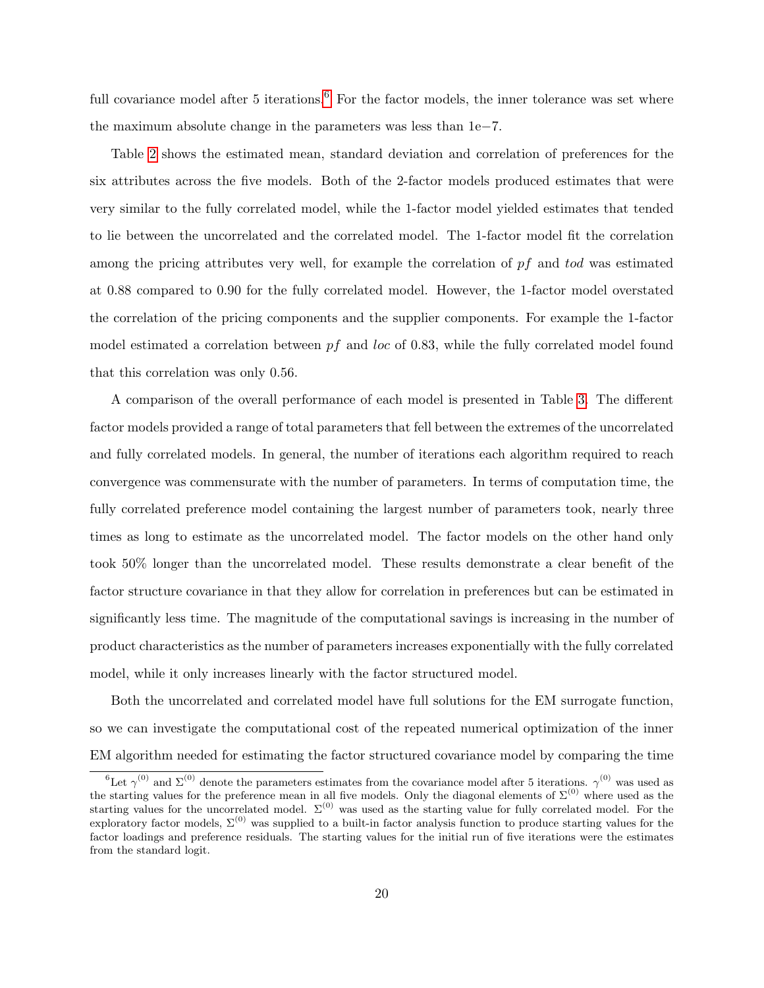full covariance model after 5 iterations.<sup>[6](#page-19-0)</sup> For the factor models, the inner tolerance was set where the maximum absolute change in the parameters was less than 1e−7.

Table [2](#page-20-0) shows the estimated mean, standard deviation and correlation of preferences for the six attributes across the five models. Both of the 2-factor models produced estimates that were very similar to the fully correlated model, while the 1-factor model yielded estimates that tended to lie between the uncorrelated and the correlated model. The 1-factor model fit the correlation among the pricing attributes very well, for example the correlation of  $pf$  and tod was estimated at 0.88 compared to 0.90 for the fully correlated model. However, the 1-factor model overstated the correlation of the pricing components and the supplier components. For example the 1-factor model estimated a correlation between  $pf$  and loc of 0.83, while the fully correlated model found that this correlation was only 0.56.

A comparison of the overall performance of each model is presented in Table [3.](#page-21-0) The different factor models provided a range of total parameters that fell between the extremes of the uncorrelated and fully correlated models. In general, the number of iterations each algorithm required to reach convergence was commensurate with the number of parameters. In terms of computation time, the fully correlated preference model containing the largest number of parameters took, nearly three times as long to estimate as the uncorrelated model. The factor models on the other hand only took 50% longer than the uncorrelated model. These results demonstrate a clear benefit of the factor structure covariance in that they allow for correlation in preferences but can be estimated in significantly less time. The magnitude of the computational savings is increasing in the number of product characteristics as the number of parameters increases exponentially with the fully correlated model, while it only increases linearly with the factor structured model.

Both the uncorrelated and correlated model have full solutions for the EM surrogate function, so we can investigate the computational cost of the repeated numerical optimization of the inner EM algorithm needed for estimating the factor structured covariance model by comparing the time

<span id="page-19-0"></span><sup>&</sup>lt;sup>6</sup>Let  $\gamma^{(0)}$  and  $\Sigma^{(0)}$  denote the parameters estimates from the covariance model after 5 iterations.  $\gamma^{(0)}$  was used as the starting values for the preference mean in all five models. Only the diagonal elements of  $\Sigma^{(0)}$  where used as the starting values for the uncorrelated model.  $\Sigma^{(0)}$  was used as the starting value for fully correlated model. For the exploratory factor models,  $\Sigma^{(0)}$  was supplied to a built-in factor analysis function to produce starting values for the factor loadings and preference residuals. The starting values for the initial run of five iterations were the estimates from the standard logit.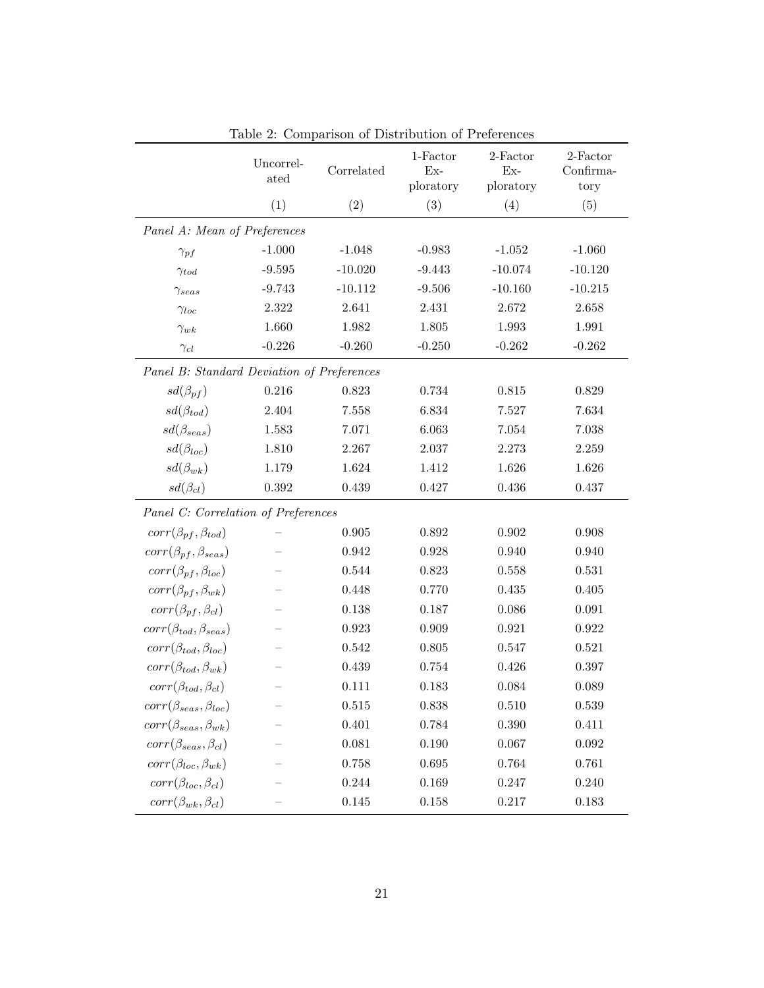<span id="page-20-0"></span>

|                                            |                   | Lable 2. Comparison of Distribution of Ficterchics |                   |                   |                       |  |  |  |  |
|--------------------------------------------|-------------------|----------------------------------------------------|-------------------|-------------------|-----------------------|--|--|--|--|
|                                            | Uncorrel-<br>ated | Correlated                                         | 1-Factor<br>$Ex-$ | 2-Factor<br>$Ex-$ | 2-Factor<br>Confirma- |  |  |  |  |
|                                            |                   |                                                    | ploratory         | ploratory         | tory                  |  |  |  |  |
|                                            | (1)               | (2)                                                | (3)               | (4)               | (5)                   |  |  |  |  |
| Panel A: Mean of Preferences               |                   |                                                    |                   |                   |                       |  |  |  |  |
| $\gamma_{pf}$                              | $-1.000$          | $-1.048$                                           | $-0.983$          | $-1.052$          | $-1.060$              |  |  |  |  |
| $\gamma_{tod}$                             | $-9.595$          | $-10.020$                                          | $-9.443$          | $-10.074$         | $-10.120$             |  |  |  |  |
| $\gamma_{seas}$                            | $-9.743$          | $-10.112$                                          | $-9.506$          | $-10.160$         | $-10.215$             |  |  |  |  |
| $\gamma_{loc}$                             | 2.322             | 2.641                                              | 2.431             | 2.672             | 2.658                 |  |  |  |  |
| $\gamma_{wk}$                              | 1.660             | 1.982                                              | 1.805             | 1.993             | 1.991                 |  |  |  |  |
| $\gamma_{cl}$                              | $-0.226$          | $-0.260$                                           | $-0.250$          | $-0.262$          | $-0.262$              |  |  |  |  |
| Panel B: Standard Deviation of Preferences |                   |                                                    |                   |                   |                       |  |  |  |  |
| $sd(\beta_{pf})$                           | 0.216             | 0.823                                              | 0.734             | 0.815             | 0.829                 |  |  |  |  |
| $sd(\beta_{tod})$                          | 2.404             | 7.558                                              | 6.834             | 7.527             | 7.634                 |  |  |  |  |
| $sd(\beta_{seas})$                         | $1.583\,$         | 7.071                                              | 6.063             | 7.054             | 7.038                 |  |  |  |  |
| $sd(\beta_{loc})$                          | 1.810             | 2.267                                              | 2.037             | 2.273             | 2.259                 |  |  |  |  |
| $sd(\beta_{wk})$                           | 1.179             | 1.624                                              | 1.412             | 1.626             | 1.626                 |  |  |  |  |
| $sd(\beta_{cl})$                           | 0.392             | 0.439                                              | 0.427             | 0.436             | 0.437                 |  |  |  |  |
| Panel C: Correlation of Preferences        |                   |                                                    |                   |                   |                       |  |  |  |  |
| $corr(\beta_{pf}, \beta_{tod})$            |                   | 0.905                                              | 0.892             | 0.902             | 0.908                 |  |  |  |  |
| $corr(\beta_{pf}, \beta_{seas})$           |                   | 0.942                                              | 0.928             | 0.940             | 0.940                 |  |  |  |  |
| $corr(\beta_{pf}, \beta_{loc})$            |                   | 0.544                                              | 0.823             | 0.558             | 0.531                 |  |  |  |  |
| $corr(\beta_{pf}, \beta_{wk})$             |                   | 0.448                                              | 0.770             | 0.435             | 0.405                 |  |  |  |  |
| $corr(\beta_{pf}, \beta_{cl})$             |                   | 0.138                                              | 0.187             | 0.086             | 0.091                 |  |  |  |  |
| $corr(\beta_{tod}, \beta_{seas})$          |                   | 0.923                                              | 0.909             | 0.921             | 0.922                 |  |  |  |  |
| $corr(\beta_{tod}, \beta_{loc})$           |                   | $\,0.542\,$                                        | 0.805             | 0.547             | 0.521                 |  |  |  |  |
| $corr(\beta_{tod}, \beta_{wk})$            |                   | 0.439                                              | 0.754             | 0.426             | 0.397                 |  |  |  |  |
| $corr(\beta_{tod}, \beta_{cl})$            |                   | 0.111                                              | 0.183             | 0.084             | 0.089                 |  |  |  |  |
| $corr(\beta_{seas}, \beta_{loc})$          |                   | 0.515                                              | 0.838             | 0.510             | 0.539                 |  |  |  |  |
| $corr(\beta_{seas}, \beta_{wk})$           |                   | 0.401                                              | 0.784             | 0.390             | 0.411                 |  |  |  |  |
| $corr(\beta_{seas}, \beta_{cl})$           |                   | 0.081                                              | 0.190             | 0.067             | 0.092                 |  |  |  |  |
| $corr(\beta_{loc}, \beta_{wk})$            |                   | 0.758                                              | 0.695             | 0.764             | 0.761                 |  |  |  |  |
| $corr(\beta_{loc}, \beta_{cl})$            |                   | 0.244                                              | 0.169             | 0.247             | 0.240                 |  |  |  |  |
| $corr(\beta_{wk}, \beta_{cl})$             |                   | 0.145                                              | 0.158             | 0.217             | 0.183                 |  |  |  |  |

Table 2: Comparison of Distribution of Preferences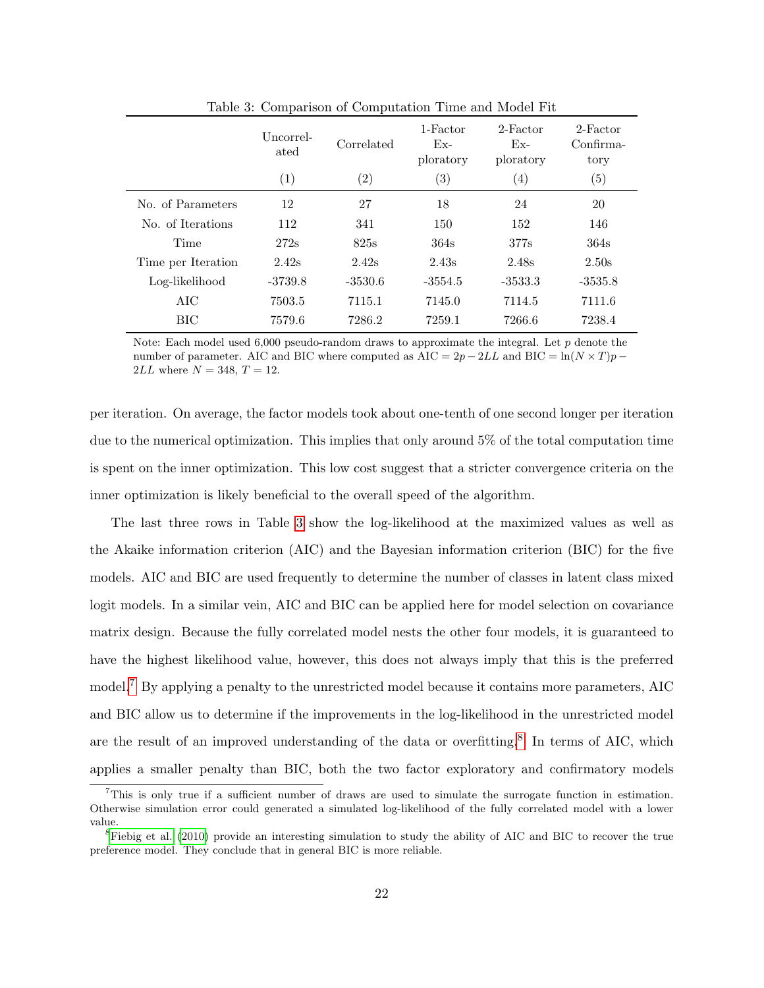<span id="page-21-0"></span>

|                    | Uncorrel-<br>ated | Correlated        | 1-Factor<br>$Ex-$<br>ploratory | 2-Factor<br>$Ex-$<br>ploratory | 2-Factor<br>Confirma-<br>tory |
|--------------------|-------------------|-------------------|--------------------------------|--------------------------------|-------------------------------|
|                    | (1)               | $\left( 2\right)$ | $\left( 3\right)$              | $\left(4\right)$               | $\left( 5\right)$             |
| No. of Parameters  | 12                | 27                | 18                             | 24                             | 20                            |
| No. of Iterations  | 112               | 341               | 150                            | 152                            | 146                           |
| Time               | 272s              | 825s              | 364s                           | 377s                           | 364s                          |
| Time per Iteration | 2.42s             | 2.42s             | 2.43s                          | 2.48s                          | 2.50s                         |
| Log-likelihood     | $-3739.8$         | $-3530.6$         | $-3554.5$                      | $-3533.3$                      | $-3535.8$                     |
| AIC                | 7503.5            | 7115.1            | 7145.0                         | 7114.5                         | 7111.6                        |
| <b>BIC</b>         | 7579.6            | 7286.2            | 7259.1                         | 7266.6                         | 7238.4                        |

Table 3: Comparison of Computation Time and Model Fit

Note: Each model used  $6,000$  pseudo-random draws to approximate the integral. Let p denote the number of parameter. AIC and BIC where computed as  $AIC = 2p - 2LL$  and BIC = ln(N × T)p – 2*LL* where  $N = 348, T = 12$ .

per iteration. On average, the factor models took about one-tenth of one second longer per iteration due to the numerical optimization. This implies that only around 5% of the total computation time is spent on the inner optimization. This low cost suggest that a stricter convergence criteria on the inner optimization is likely beneficial to the overall speed of the algorithm.

The last three rows in Table [3](#page-21-0) show the log-likelihood at the maximized values as well as the Akaike information criterion (AIC) and the Bayesian information criterion (BIC) for the five models. AIC and BIC are used frequently to determine the number of classes in latent class mixed logit models. In a similar vein, AIC and BIC can be applied here for model selection on covariance matrix design. Because the fully correlated model nests the other four models, it is guaranteed to have the highest likelihood value, however, this does not always imply that this is the preferred model.[7](#page-21-1) By applying a penalty to the unrestricted model because it contains more parameters, AIC and BIC allow us to determine if the improvements in the log-likelihood in the unrestricted model are the result of an improved understanding of the data or overfitting.<sup>[8](#page-21-2)</sup> In terms of AIC, which applies a smaller penalty than BIC, both the two factor exploratory and confirmatory models

<span id="page-21-1"></span><sup>7</sup>This is only true if a sufficient number of draws are used to simulate the surrogate function in estimation. Otherwise simulation error could generated a simulated log-likelihood of the fully correlated model with a lower value.

<span id="page-21-2"></span> ${}^8$ [Fiebig et al.](#page-24-2) [\(2010\)](#page-24-2) provide an interesting simulation to study the ability of AIC and BIC to recover the true preference model. They conclude that in general BIC is more reliable.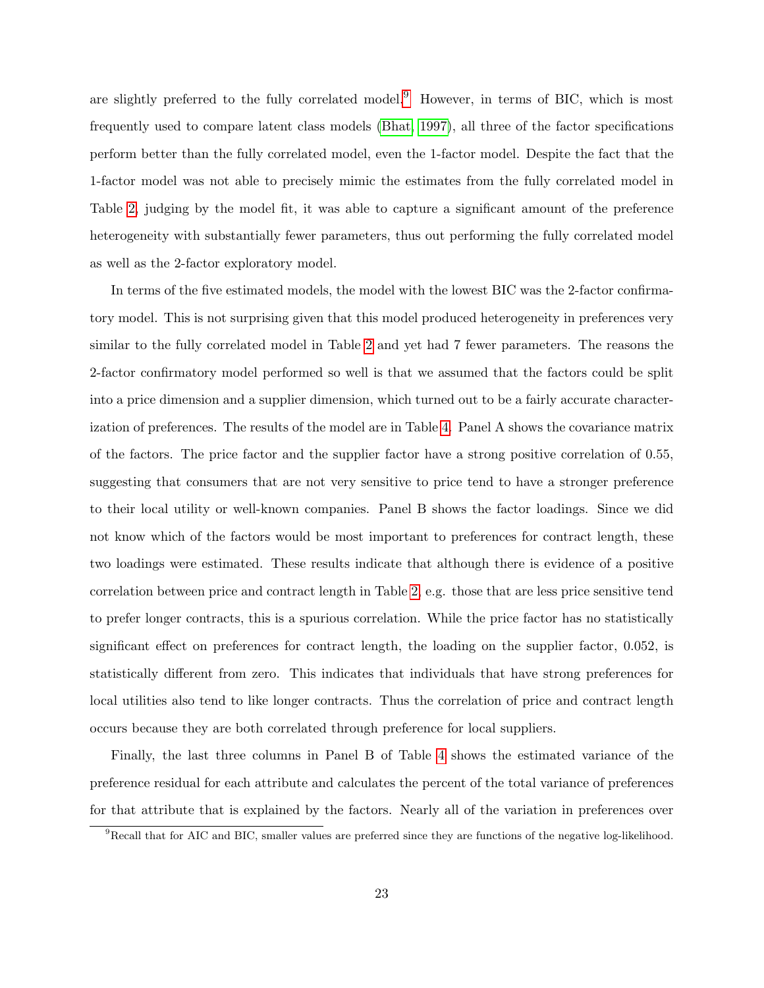are slightly preferred to the fully correlated model.<sup>[9](#page-22-0)</sup> However, in terms of BIC, which is most frequently used to compare latent class models [\(Bhat, 1997\)](#page-24-6), all three of the factor specifications perform better than the fully correlated model, even the 1-factor model. Despite the fact that the 1-factor model was not able to precisely mimic the estimates from the fully correlated model in Table [2,](#page-20-0) judging by the model fit, it was able to capture a significant amount of the preference heterogeneity with substantially fewer parameters, thus out performing the fully correlated model as well as the 2-factor exploratory model.

In terms of the five estimated models, the model with the lowest BIC was the 2-factor confirmatory model. This is not surprising given that this model produced heterogeneity in preferences very similar to the fully correlated model in Table [2](#page-20-0) and yet had 7 fewer parameters. The reasons the 2-factor confirmatory model performed so well is that we assumed that the factors could be split into a price dimension and a supplier dimension, which turned out to be a fairly accurate characterization of preferences. The results of the model are in Table [4.](#page-23-1) Panel A shows the covariance matrix of the factors. The price factor and the supplier factor have a strong positive correlation of 0.55, suggesting that consumers that are not very sensitive to price tend to have a stronger preference to their local utility or well-known companies. Panel B shows the factor loadings. Since we did not know which of the factors would be most important to preferences for contract length, these two loadings were estimated. These results indicate that although there is evidence of a positive correlation between price and contract length in Table [2,](#page-20-0) e.g. those that are less price sensitive tend to prefer longer contracts, this is a spurious correlation. While the price factor has no statistically significant effect on preferences for contract length, the loading on the supplier factor, 0.052, is statistically different from zero. This indicates that individuals that have strong preferences for local utilities also tend to like longer contracts. Thus the correlation of price and contract length occurs because they are both correlated through preference for local suppliers.

Finally, the last three columns in Panel B of Table [4](#page-23-1) shows the estimated variance of the preference residual for each attribute and calculates the percent of the total variance of preferences for that attribute that is explained by the factors. Nearly all of the variation in preferences over

<span id="page-22-0"></span> $9$ Recall that for AIC and BIC, smaller values are preferred since they are functions of the negative log-likelihood.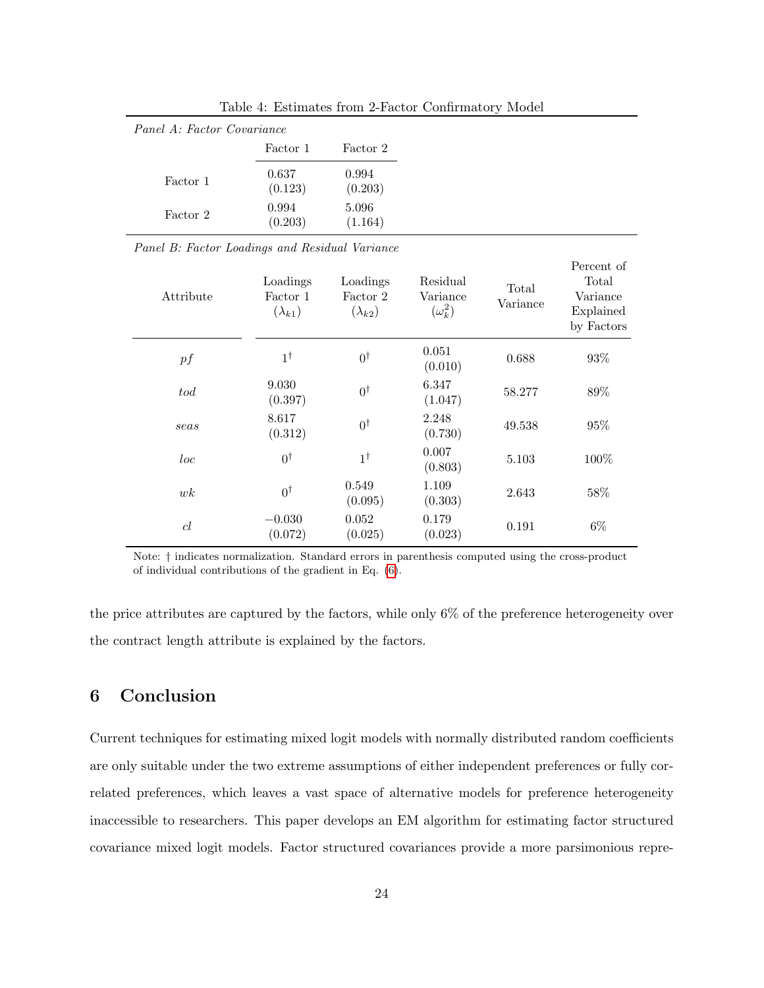<span id="page-23-1"></span>

Table 4: Estimates from 2-Factor Confirmatory Model

Panel B: Factor Loadings and Residual Variance

| Attribute | Loadings<br>Factor 1<br>$(\lambda_{k1})$ | Loadings<br>Factor 2<br>$(\lambda_{k2})$ | Residual<br>Variance<br>$(\omega_k^2)$ | Total<br>Variance | Percent of<br>Total<br>Variance<br>Explained<br>by Factors |
|-----------|------------------------------------------|------------------------------------------|----------------------------------------|-------------------|------------------------------------------------------------|
| pf        | $1^{\dagger}$                            | $0^{\dagger}$                            | 0.051<br>(0.010)                       | 0.688             | 93%                                                        |
| $_{tod}$  | 9.030<br>(0.397)                         | $0^{\dagger}$                            | 6.347<br>(1.047)                       | 58.277            | 89%                                                        |
| seas      | 8.617<br>(0.312)                         | $0^{\dagger}$                            | 2.248<br>(0.730)                       | 49.538            | 95%                                                        |
| loc       | $0^{\dagger}$                            | $1^{\dagger}$                            | 0.007<br>(0.803)                       | 5.103             | 100%                                                       |
| wk        | $0^{\dagger}$                            | 0.549<br>(0.095)                         | 1.109<br>(0.303)                       | 2.643             | 58%                                                        |
| cl        | $-0.030$<br>(0.072)                      | 0.052<br>(0.025)                         | 0.179<br>(0.023)                       | 0.191             | $6\%$                                                      |

Note: † indicates normalization. Standard errors in parenthesis computed using the cross-product of individual contributions of the gradient in Eq. [\(6\)](#page-11-0).

the price attributes are captured by the factors, while only 6% of the preference heterogeneity over the contract length attribute is explained by the factors.

# <span id="page-23-0"></span>6 Conclusion

Current techniques for estimating mixed logit models with normally distributed random coefficients are only suitable under the two extreme assumptions of either independent preferences or fully correlated preferences, which leaves a vast space of alternative models for preference heterogeneity inaccessible to researchers. This paper develops an EM algorithm for estimating factor structured covariance mixed logit models. Factor structured covariances provide a more parsimonious repre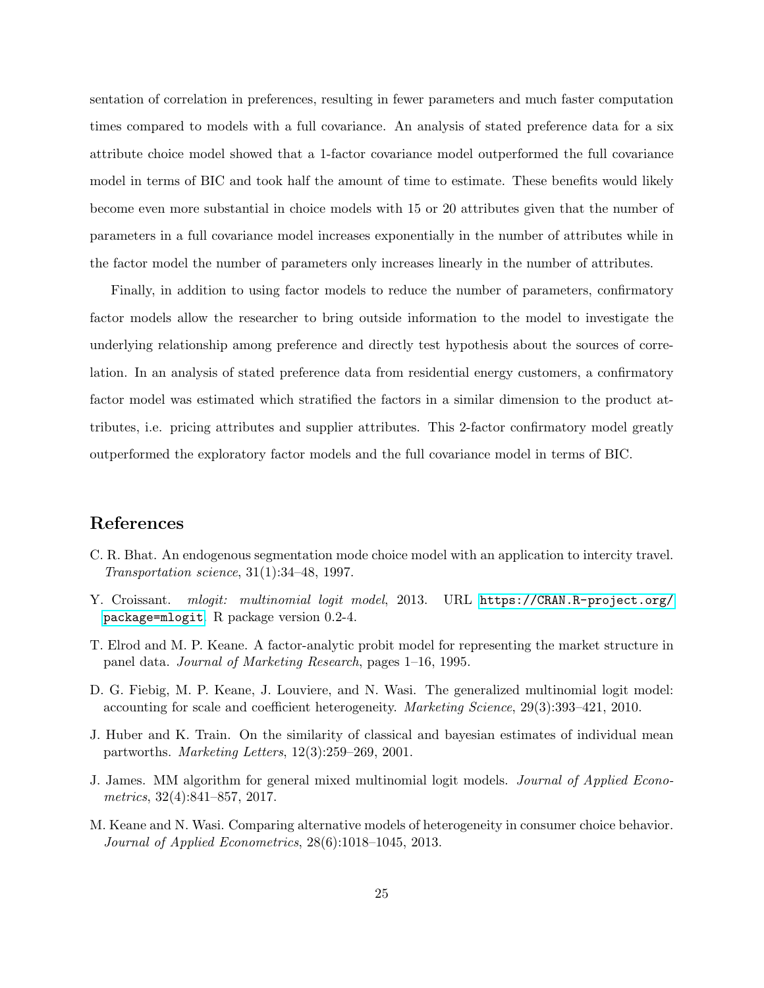sentation of correlation in preferences, resulting in fewer parameters and much faster computation times compared to models with a full covariance. An analysis of stated preference data for a six attribute choice model showed that a 1-factor covariance model outperformed the full covariance model in terms of BIC and took half the amount of time to estimate. These benefits would likely become even more substantial in choice models with 15 or 20 attributes given that the number of parameters in a full covariance model increases exponentially in the number of attributes while in the factor model the number of parameters only increases linearly in the number of attributes.

Finally, in addition to using factor models to reduce the number of parameters, confirmatory factor models allow the researcher to bring outside information to the model to investigate the underlying relationship among preference and directly test hypothesis about the sources of correlation. In an analysis of stated preference data from residential energy customers, a confirmatory factor model was estimated which stratified the factors in a similar dimension to the product attributes, i.e. pricing attributes and supplier attributes. This 2-factor confirmatory model greatly outperformed the exploratory factor models and the full covariance model in terms of BIC.

# References

- <span id="page-24-6"></span>C. R. Bhat. An endogenous segmentation mode choice model with an application to intercity travel. Transportation science, 31(1):34–48, 1997.
- <span id="page-24-5"></span>Y. Croissant. mlogit: multinomial logit model, 2013. URL [https://CRAN.R-project.org/](https://CRAN.R-project.org/package=mlogit) [package=mlogit](https://CRAN.R-project.org/package=mlogit). R package version 0.2-4.
- <span id="page-24-1"></span>T. Elrod and M. P. Keane. A factor-analytic probit model for representing the market structure in panel data. Journal of Marketing Research, pages 1–16, 1995.
- <span id="page-24-2"></span>D. G. Fiebig, M. P. Keane, J. Louviere, and N. Wasi. The generalized multinomial logit model: accounting for scale and coefficient heterogeneity. Marketing Science, 29(3):393–421, 2010.
- <span id="page-24-3"></span>J. Huber and K. Train. On the similarity of classical and bayesian estimates of individual mean partworths. Marketing Letters, 12(3):259–269, 2001.
- <span id="page-24-4"></span>J. James. MM algorithm for general mixed multinomial logit models. Journal of Applied Econometrics, 32(4):841–857, 2017.
- <span id="page-24-0"></span>M. Keane and N. Wasi. Comparing alternative models of heterogeneity in consumer choice behavior. Journal of Applied Econometrics, 28(6):1018–1045, 2013.